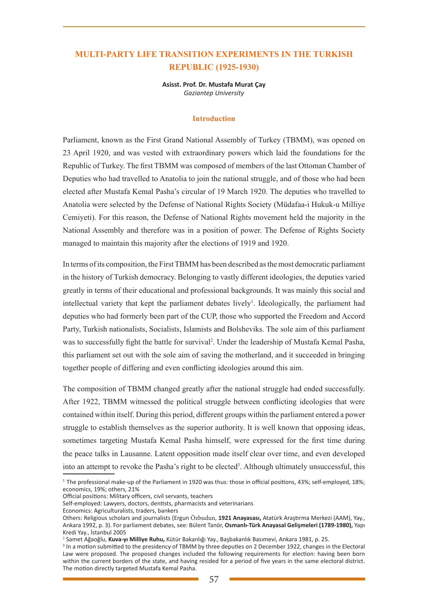# **MULTI-PARTY LIFE TRANSITION EXPERIMENTS IN THE TURKISH REPUBLIC (1925-1930)**

**Asisst. Prof. Dr. Mustafa Murat Çay**  *Gaziantep University*

#### **Introduction**

Parliament, known as the First Grand National Assembly of Turkey (TBMM), was opened on 23 April 1920, and was vested with extraordinary powers which laid the foundations for the Republic of Turkey. The first TBMM was composed of members of the last Ottoman Chamber of Deputies who had travelled to Anatolia to join the national struggle, and of those who had been elected after Mustafa Kemal Pasha's circular of 19 March 1920. The deputies who travelled to Anatolia were selected by the Defense of National Rights Society (Müdafaa-i Hukuk-u Milliye Cemiyeti). For this reason, the Defense of National Rights movement held the majority in the National Assembly and therefore was in a position of power. The Defense of Rights Society managed to maintain this majority after the elections of 1919 and 1920.

In terms of its composition, the First TBMM has been described as the most democratic parliament in the history of Turkish democracy. Belonging to vastly different ideologies, the deputies varied greatly in terms of their educational and professional backgrounds. It was mainly this social and intellectual variety that kept the parliament debates lively<sup>1</sup>. Ideologically, the parliament had deputies who had formerly been part of the CUP, those who supported the Freedom and Accord Party, Turkish nationalists, Socialists, Islamists and Bolsheviks. The sole aim of this parliament was to successfully fight the battle for survival<sup>2</sup>. Under the leadership of Mustafa Kemal Pasha, this parliament set out with the sole aim of saving the motherland, and it succeeded in bringing together people of differing and even conflicting ideologies around this aim.

The composition of TBMM changed greatly after the national struggle had ended successfully. After 1922, TBMM witnessed the political struggle between conflicting ideologies that were contained within itself. During this period, different groups within the parliament entered a power struggle to establish themselves as the superior authority. It is well known that opposing ideas, sometimes targeting Mustafa Kemal Pasha himself, were expressed for the first time during the peace talks in Lausanne. Latent opposition made itself clear over time, and even developed into an attempt to revoke the Pasha's right to be elected<sup>3</sup>. Although ultimately unsuccessful, this

Official positions: Military officers, civil servants, teachers

Economics: Agriculturalists, traders, bankers

<sup>1</sup> The professional make-up of the Parliament in 1920 was thus: those in official positions, 43%; self-employed, 18%; economics, 19%; others, 21%

Self-employed: Lawyers, doctors, dentists, pharmacists and veterinarians

Others: Religious scholars and journalists (Ergun Özbudun, **1921 Anayasası,** Atatürk Araştırma Merkezi (AAM), Yay., Ankara 1992, p. 3). For parliament debates, see: Bülent Tanör, **Osmanlı-Türk Anayasal Gelişmeleri (1789-1980),** Yapı Kredi Yay., İstanbul 2005

<sup>&</sup>lt;sup>2</sup> Samet Ağaoğlu, **Kuva-yı Milliye Ruhu,** Kütür Bakanlığı Yay., Başbakanlık Basımevi, Ankara 1981, p. 25.<br><sup>3</sup> In a motion suhmitted to the presidency of TBMM by three denuties on 2 December 1922, changes in

<sup>&</sup>lt;sup>3</sup> In a motion submitted to the presidency of TBMM by three deputies on 2 December 1922, changes in the Electoral Law were proposed. The proposed changes included the following requirements for election: having been born within the current borders of the state, and having resided for a period of five years in the same electoral district. The motion directly targeted Mustafa Kemal Pasha.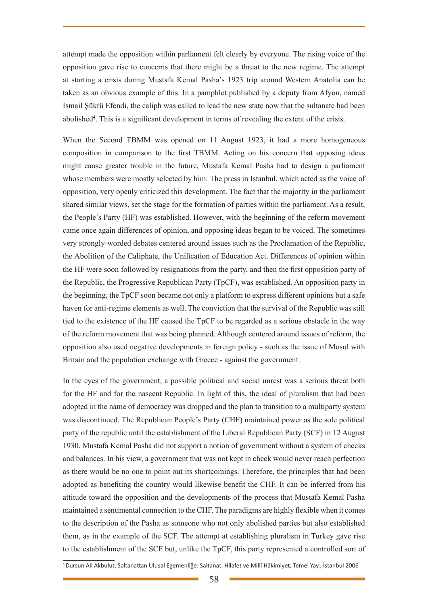attempt made the opposition within parliament felt clearly by everyone. The rising voice of the opposition gave rise to concerns that there might be a threat to the new regime. The attempt at starting a crisis during Mustafa Kemal Pasha's 1923 trip around Western Anatolia can be taken as an obvious example of this. In a pamphlet published by a deputy from Afyon, named İsmail Şükrü Efendi, the caliph was called to lead the new state now that the sultanate had been abolished<sup>4</sup>. This is a significant development in terms of revealing the extent of the crisis.

When the Second TBMM was opened on 11 August 1923, it had a more homogeneous composition in comparison to the first TBMM. Acting on his concern that opposing ideas might cause greater trouble in the future, Mustafa Kemal Pasha had to design a parliament whose members were mostly selected by him. The press in Istanbul, which acted as the voice of opposition, very openly criticized this development. The fact that the majority in the parliament shared similar views, set the stage for the formation of parties within the parliament. As a result, the People's Party (HF) was established. However, with the beginning of the reform movement came once again differences of opinion, and opposing ideas began to be voiced. The sometimes very strongly-worded debates centered around issues such as the Proclamation of the Republic, the Abolition of the Caliphate, the Unification of Education Act. Differences of opinion within the HF were soon followed by resignations from the party, and then the first opposition party of the Republic, the Progressive Republican Party (TpCF), was established. An opposition party in the beginning, the TpCF soon became not only a platform to express different opinions but a safe haven for anti-regime elements as well. The conviction that the survival of the Republic was still tied to the existence of the HF caused the TpCF to be regarded as a serious obstacle in the way of the reform movement that was being planned. Although centered around issues of reform, the opposition also used negative developments in foreign policy - such as the issue of Mosul with Britain and the population exchange with Greece - against the government.

In the eyes of the government, a possible political and social unrest was a serious threat both for the HF and for the nascent Republic. In light of this, the ideal of pluralism that had been adopted in the name of democracy was dropped and the plan to transition to a multiparty system was discontinued. The Republican People's Party (CHF) maintained power as the sole political party of the republic until the establishment of the Liberal Republican Party (SCF) in 12 August 1930. Mustafa Kemal Pasha did not support a notion of government without a system of checks and balances. In his view, a government that was not kept in check would never reach perfection as there would be no one to point out its shortcomings. Therefore, the principles that had been adopted as benefiting the country would likewise benefit the CHF. It can be inferred from his attitude toward the opposition and the developments of the process that Mustafa Kemal Pasha maintained a sentimental connection to the CHF. The paradigms are highly flexible when it comes to the description of the Pasha as someone who not only abolished parties but also established them, as in the example of the SCF. The attempt at establishing pluralism in Turkey gave rise to the establishment of the SCF but, unlike the TpCF, this party represented a controlled sort of

<sup>4</sup> Dursun Ali Akbulut, Saltanattan Ulusal Egemenliğe: Saltanat, Hilafet ve Millî Hâkimiyet, Temel Yay., İstanbul 2006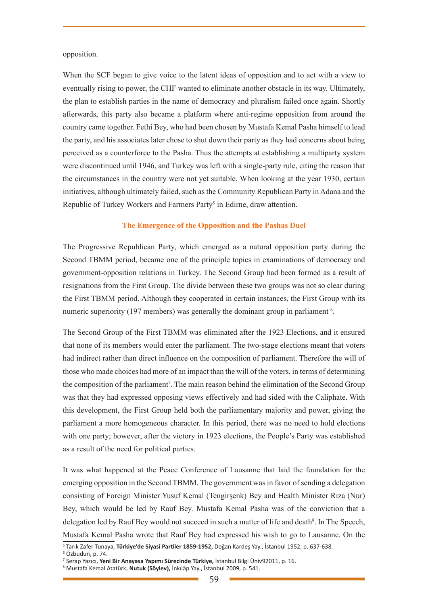#### opposition.

When the SCF began to give voice to the latent ideas of opposition and to act with a view to eventually rising to power, the CHF wanted to eliminate another obstacle in its way. Ultimately, the plan to establish parties in the name of democracy and pluralism failed once again. Shortly afterwards, this party also became a platform where anti-regime opposition from around the country came together. Fethi Bey, who had been chosen by Mustafa Kemal Pasha himself to lead the party, and his associates later chose to shut down their party as they had concerns about being perceived as a counterforce to the Pasha. Thus the attempts at establishing a multiparty system were discontinued until 1946, and Turkey was left with a single-party rule, citing the reason that the circumstances in the country were not yet suitable. When looking at the year 1930, certain initiatives, although ultimately failed, such as the Community Republican Party in Adana and the Republic of Turkey Workers and Farmers Party<sup>5</sup> in Edirne, draw attention.

### **The Emergence of the Opposition and the Pashas Duel**

The Progressive Republican Party, which emerged as a natural opposition party during the Second TBMM period, became one of the principle topics in examinations of democracy and government-opposition relations in Turkey. The Second Group had been formed as a result of resignations from the First Group. The divide between these two groups was not so clear during the First TBMM period. Although they cooperated in certain instances, the First Group with its numeric superiority (197 members) was generally the dominant group in parliament<sup>6</sup>.

The Second Group of the First TBMM was eliminated after the 1923 Elections, and it ensured that none of its members would enter the parliament. The two-stage elections meant that voters had indirect rather than direct influence on the composition of parliament. Therefore the will of those who made choices had more of an impact than the will of the voters, in terms of determining the composition of the parliament<sup>7</sup>. The main reason behind the elimination of the Second Group was that they had expressed opposing views effectively and had sided with the Caliphate. With this development, the First Group held both the parliamentary majority and power, giving the parliament a more homogeneous character. In this period, there was no need to hold elections with one party; however, after the victory in 1923 elections, the People's Party was established as a result of the need for political parties.

It was what happened at the Peace Conference of Lausanne that laid the foundation for the emerging opposition in the Second TBMM. The government was in favor of sending a delegation consisting of Foreign Minister Yusuf Kemal (Tengirşenk) Bey and Health Minister Rıza (Nur) Bey, which would be led by Rauf Bey. Mustafa Kemal Pasha was of the conviction that a delegation led by Rauf Bey would not succeed in such a matter of life and death<sup>8</sup>. In The Speech, Mustafa Kemal Pasha wrote that Rauf Bey had expressed his wish to go to Lausanne. On the

<sup>5</sup> Tarık Zafer Tunaya, **Türkiye'de Siyasî Partiler 1859-1952,** Doğan Kardeş Yay., İstanbul 1952, p. 637-638.

<sup>6</sup> Özbudun, p. 74.

<sup>7</sup> Serap Yazıcı, **Yeni Bir Anayasa Yapımı Sürecinde Türkiye,** İstanbul Bilgi Üniv92011, p. 16.

<sup>8</sup> Mustafa Kemal Atatürk, **Nutuk (Söylev),** İnkılâp Yay., İstanbul 2009, p. 541.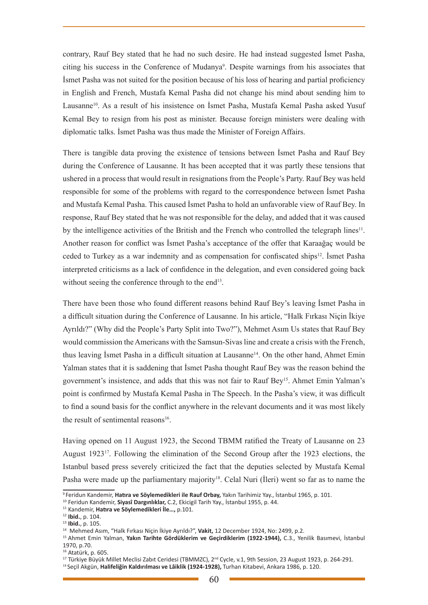contrary, Rauf Bey stated that he had no such desire. He had instead suggested İsmet Pasha, citing his success in the Conference of Mudanya<sup>9</sup>. Despite warnings from his associates that İsmet Pasha was not suited for the position because of his loss of hearing and partial proficiency in English and French, Mustafa Kemal Pasha did not change his mind about sending him to Lausanne<sup>10</sup>. As a result of his insistence on İsmet Pasha, Mustafa Kemal Pasha asked Yusuf Kemal Bey to resign from his post as minister. Because foreign ministers were dealing with diplomatic talks. İsmet Pasha was thus made the Minister of Foreign Affairs.

There is tangible data proving the existence of tensions between İsmet Pasha and Rauf Bey during the Conference of Lausanne. It has been accepted that it was partly these tensions that ushered in a process that would result in resignations from the People's Party. Rauf Bey was held responsible for some of the problems with regard to the correspondence between İsmet Pasha and Mustafa Kemal Pasha. This caused İsmet Pasha to hold an unfavorable view of Rauf Bey. In response, Rauf Bey stated that he was not responsible for the delay, and added that it was caused by the intelligence activities of the British and the French who controlled the telegraph lines<sup>11</sup>. Another reason for conflict was İsmet Pasha's acceptance of the offer that Karaağaç would be ceded to Turkey as a war indemnity and as compensation for confiscated ships<sup>12</sup>. Ismet Pasha interpreted criticisms as a lack of confidence in the delegation, and even considered going back without seeing the conference through to the end<sup>13</sup>.

There have been those who found different reasons behind Rauf Bey's leaving İsmet Pasha in a difficult situation during the Conference of Lausanne. In his article, "Halk Fırkası Niçin İkiye Ayrıldı?" (Why did the People's Party Split into Two?"), Mehmet Asım Us states that Rauf Bey would commission the Americans with the Samsun-Sivas line and create a crisis with the French, thus leaving Ismet Pasha in a difficult situation at Lausanne<sup>14</sup>. On the other hand, Ahmet Emin Yalman states that it is saddening that İsmet Pasha thought Rauf Bey was the reason behind the government's insistence, and adds that this was not fair to Rauf Bey15. Ahmet Emin Yalman's point is confirmed by Mustafa Kemal Pasha in The Speech. In the Pasha's view, it was difficult to find a sound basis for the conflict anywhere in the relevant documents and it was most likely the result of sentimental reasons $16$ .

Having opened on 11 August 1923, the Second TBMM ratified the Treaty of Lausanne on 23 August 192317. Following the elimination of the Second Group after the 1923 elections, the Istanbul based press severely criticized the fact that the deputies selected by Mustafa Kemal Pasha were made up the parliamentary majority<sup>18</sup>. Celal Nuri (Ileri) went so far as to name the

<sup>9</sup> Feridun Kandemir, **Hatıra ve Söylemedikleri ile Rauf Orbay,** Yakın Tarihimiz Yay., İstanbul 1965, p. 101.

<sup>10</sup> Feridun Kandemir, **Siyasî Dargınlıklar,** C.2, Ekicigil Tarih Yay., İstanbul 1955, p. 44.

<sup>11</sup> Kandemir, **Hatıra ve Söylemedikleri İle…,** p.101.

<sup>12</sup> **Ibid.**, p. 104.

<sup>13</sup> **Ibid.**, p. 105.

<sup>14</sup> Mehmed Asım, "Halk Fırkası Niçin İkiye Ayrıldı?", **Vakit,** 12 December 1924, No: 2499, p.2.

<sup>15</sup> Ahmet Emin Yalman, **Yakın Tarihte Gördüklerim ve Geçirdiklerim (1922-1944),** C.3., Yenilik Basımevi, İstanbul 1970, p.70.

<sup>16</sup> Atatürk, p. 605.

<sup>&</sup>lt;sup>17</sup> Türkiye Büyük Millet Meclisi Zabıt Ceridesi (TBMMZC), 2<sup>nd</sup> Cycle, v.1, 9th Session, 23 August 1923, p. 264-291.

<sup>18</sup> Seçil Akgün, **Halifeliğin Kaldırılması ve Lâiklik (1924-1928),** Turhan Kitabevi, Ankara 1986, p. 120.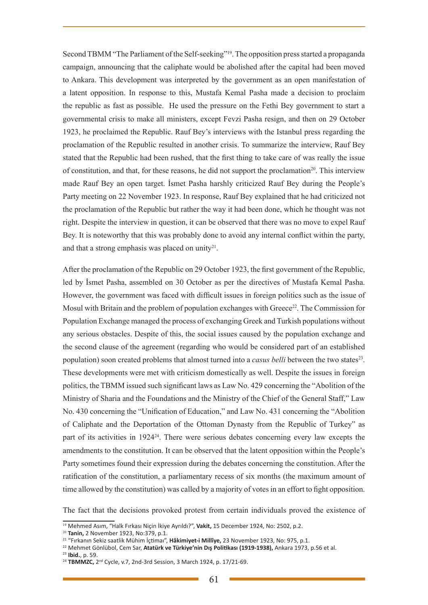Second TBMM "The Parliament of the Self-seeking"19. The opposition press started a propaganda campaign, announcing that the caliphate would be abolished after the capital had been moved to Ankara. This development was interpreted by the government as an open manifestation of a latent opposition. In response to this, Mustafa Kemal Pasha made a decision to proclaim the republic as fast as possible. He used the pressure on the Fethi Bey government to start a governmental crisis to make all ministers, except Fevzi Pasha resign, and then on 29 October 1923, he proclaimed the Republic. Rauf Bey's interviews with the Istanbul press regarding the proclamation of the Republic resulted in another crisis. To summarize the interview, Rauf Bey stated that the Republic had been rushed, that the first thing to take care of was really the issue of constitution, and that, for these reasons, he did not support the proclamation20. This interview made Rauf Bey an open target. İsmet Pasha harshly criticized Rauf Bey during the People's Party meeting on 22 November 1923. In response, Rauf Bey explained that he had criticized not the proclamation of the Republic but rather the way it had been done, which he thought was not right. Despite the interview in question, it can be observed that there was no move to expel Rauf Bey. It is noteworthy that this was probably done to avoid any internal conflict within the party, and that a strong emphasis was placed on unity<sup>21</sup>.

After the proclamation of the Republic on 29 October 1923, the first government of the Republic, led by İsmet Pasha, assembled on 30 October as per the directives of Mustafa Kemal Pasha. However, the government was faced with difficult issues in foreign politics such as the issue of Mosul with Britain and the problem of population exchanges with Greece<sup>22</sup>. The Commission for Population Exchange managed the process of exchanging Greek and Turkish populations without any serious obstacles. Despite of this, the social issues caused by the population exchange and the second clause of the agreement (regarding who would be considered part of an established population) soon created problems that almost turned into a *casus belli* between the two states<sup>23</sup>. These developments were met with criticism domestically as well. Despite the issues in foreign politics, the TBMM issued such significant laws as Law No. 429 concerning the "Abolition of the Ministry of Sharia and the Foundations and the Ministry of the Chief of the General Staff," Law No. 430 concerning the "Unification of Education," and Law No. 431 concerning the "Abolition of Caliphate and the Deportation of the Ottoman Dynasty from the Republic of Turkey" as part of its activities in 192424. There were serious debates concerning every law excepts the amendments to the constitution. It can be observed that the latent opposition within the People's Party sometimes found their expression during the debates concerning the constitution. After the ratification of the constitution, a parliamentary recess of six months (the maximum amount of time allowed by the constitution) was called by a majority of votes in an effort to fight opposition.

The fact that the decisions provoked protest from certain individuals proved the existence of

<sup>19</sup> Mehmed Asım, "Halk Fırkası Niçin İkiye Ayrıldı?", **Vakit,** 15 December 1924, No: 2502, p.2.

<sup>20</sup> **Tanin,** 2 November 1923, No:379, p.1.

<sup>21</sup> "Fırkanın Sekiz saatlik Mühim İçtimaı", **Hâkimiyet-i Millîye,** 23 November 1923, No: 975, p.1.

<sup>22</sup> Mehmet Gönlübol, Cem Sar, **Atatürk ve Türkiye'nin Dış Politikası (1919-1938),** Ankara 1973, p.56 et al.

<sup>&</sup>lt;sup>24</sup> TBMMZC, 2<sup>nd</sup> Cycle, v.7, 2nd-3rd Session, 3 March 1924, p. 17/21-69.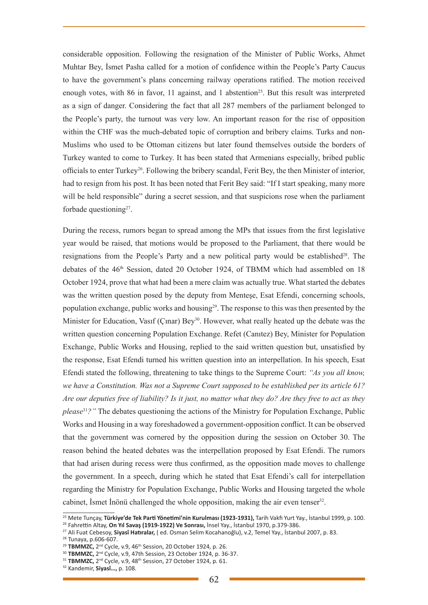considerable opposition. Following the resignation of the Minister of Public Works, Ahmet Muhtar Bey, İsmet Pasha called for a motion of confidence within the People's Party Caucus to have the government's plans concerning railway operations ratified. The motion received enough votes, with 86 in favor, 11 against, and 1 abstention<sup>25</sup>. But this result was interpreted as a sign of danger. Considering the fact that all 287 members of the parliament belonged to the People's party, the turnout was very low. An important reason for the rise of opposition within the CHF was the much-debated topic of corruption and bribery claims. Turks and non-Muslims who used to be Ottoman citizens but later found themselves outside the borders of Turkey wanted to come to Turkey. It has been stated that Armenians especially, bribed public officials to enter Turkey26. Following the bribery scandal, Ferit Bey, the then Minister of interior, had to resign from his post. It has been noted that Ferit Bey said: "If I start speaking, many more will be held responsible" during a secret session, and that suspicions rose when the parliament forbade questioning $27$ .

During the recess, rumors began to spread among the MPs that issues from the first legislative year would be raised, that motions would be proposed to the Parliament, that there would be resignations from the People's Party and a new political party would be established<sup>28</sup>. The debates of the 46th Session, dated 20 October 1924, of TBMM which had assembled on 18 October 1924, prove that what had been a mere claim was actually true. What started the debates was the written question posed by the deputy from Mentese, Esat Efendi, concerning schools, population exchange, public works and housing29. The response to this was then presented by the Minister for Education, Vasif (Cinar) Bey<sup>30</sup>. However, what really heated up the debate was the written question concerning Population Exchange. Refet (Canıtez) Bey, Minister for Population Exchange, Public Works and Housing, replied to the said written question but, unsatisfied by the response, Esat Efendi turned his written question into an interpellation. In his speech, Esat Efendi stated the following, threatening to take things to the Supreme Court: *"As you all know, we have a Constitution. Was not a Supreme Court supposed to be established per its article 61? Are our deputies free of liability? Is it just, no matter what they do? Are they free to act as they please*<sup>31</sup>*?"* The debates questioning the actions of the Ministry for Population Exchange, Public Works and Housing in a way foreshadowed a government-opposition conflict. It can be observed that the government was cornered by the opposition during the session on October 30. The reason behind the heated debates was the interpellation proposed by Esat Efendi. The rumors that had arisen during recess were thus confirmed, as the opposition made moves to challenge the government. In a speech, during which he stated that Esat Efendi's call for interpellation regarding the Ministry for Population Exchange, Public Works and Housing targeted the whole cabinet, İsmet İnönü challenged the whole opposition, making the air even tenser<sup>32</sup>.

<sup>&</sup>lt;sup>25</sup> Mete Tunçay, **Türkiye'de Tek Parti Yönetimi'nin Kurulması (1923-1931),** Tarih Vakfı Yurt Yay., İstanbul 1999, p. 100.<br><sup>26</sup> Fahrettin Altay, **On Yıl Savaş (1919-1922) Ve Sonrası,** İnsel Yay., İstanbul 1970, p.379-386.

<sup>26</sup> Fahrettin Altay, **On Yıl Savaş (1919-1922) Ve Sonrası,** İnsel Yay., İstanbul 1970, p.379-386. 27 Ali Fuat Cebesoy, **Siyasî Hatıralar,** ( ed. Osman Selim Kocahanoğlu), v.2, Temel Yay., İstanbul 2007, p. 83.

<sup>&</sup>lt;sup>28</sup> Tunaya, p.606-607.<br><sup>29</sup> TBMMZC, 2<sup>nd</sup> Cycle, v.9, 46<sup>th</sup> Session, 20 October 1924, p. 26.

<sup>&</sup>lt;sup>30</sup> TBMMZC, 2<sup>nd</sup> Cycle, v.9, 47th Session, 23 October 1924, p. 36-37.<br><sup>31</sup> TBMMZC, 2<sup>nd</sup> Cycle, v.9, 48<sup>th</sup> Session, 27 October 1924, p. 61.

<sup>32</sup> Kandemir, **Siyasî…,** p. 108.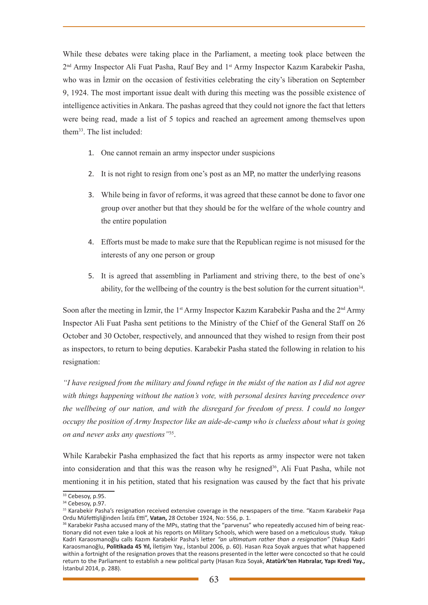While these debates were taking place in the Parliament, a meeting took place between the 2nd Army Inspector Ali Fuat Pasha, Rauf Bey and 1st Army Inspector Kazım Karabekir Pasha, who was in İzmir on the occasion of festivities celebrating the city's liberation on September 9, 1924. The most important issue dealt with during this meeting was the possible existence of intelligence activities in Ankara. The pashas agreed that they could not ignore the fact that letters were being read, made a list of 5 topics and reached an agreement among themselves upon them33. The list included:

- 1. One cannot remain an army inspector under suspicions
- 2. It is not right to resign from one's post as an MP, no matter the underlying reasons
- 3. While being in favor of reforms, it was agreed that these cannot be done to favor one group over another but that they should be for the welfare of the whole country and the entire population
- 4. Efforts must be made to make sure that the Republican regime is not misused for the interests of any one person or group
- 5. It is agreed that assembling in Parliament and striving there, to the best of one's ability, for the wellbeing of the country is the best solution for the current situation<sup>34</sup>.

Soon after the meeting in İzmir, the 1<sup>st</sup> Army Inspector Kazım Karabekir Pasha and the 2<sup>nd</sup> Army Inspector Ali Fuat Pasha sent petitions to the Ministry of the Chief of the General Staff on 26 October and 30 October, respectively, and announced that they wished to resign from their post as inspectors, to return to being deputies. Karabekir Pasha stated the following in relation to his resignation:

*"I have resigned from the military and found refuge in the midst of the nation as I did not agree with things happening without the nation's vote, with personal desires having precedence over the wellbeing of our nation, and with the disregard for freedom of press. I could no longer occupy the position of Army Inspector like an aide-de-camp who is clueless about what is going on and never asks any questions"*35.

While Karabekir Pasha emphasized the fact that his reports as army inspector were not taken into consideration and that this was the reason why he resigned<sup>36</sup>, Ali Fuat Pasha, while not mentioning it in his petition, stated that his resignation was caused by the fact that his private

 $33$  Cebesoy, p.95.

<sup>&</sup>lt;sup>34</sup> Cebesoy, p.97.

<sup>&</sup>lt;sup>35</sup> Karabekir Pasha's resignation received extensive coverage in the newspapers of the time. "Kazım Karabekir Paşa Ordu Müfettişliğinden İstifa Etti", **Vatan,** 28 October 1924, No: 556, p. 1.<br><sup>36</sup> Karabekir Pasha accused many of the MPs, stating that the "parvenus" who repeatedly accused him of being reac-

tionary did not even take a look at his reports on Military Schools, which were based on a meticulous study. Yakup Kadri Karaosmanoğlu calls Kazım Karabekir Pasha's letter *"an ultimatum rather than a resignation"* (Yakup Kadri Karaosmanoğlu, **Politikada 45 Yıl,** İletişim Yay., İstanbul 2006, p. 60). Hasan Rıza Soyak argues that what happened within a fortnight of the resignation proves that the reasons presented in the letter were concocted so that he could return to the Parliament to establish a new political party (Hasan Rıza Soyak, **Atatürk'ten Hatıralar, Yapı Kredi Yay.,**  İstanbul 2014, p. 288).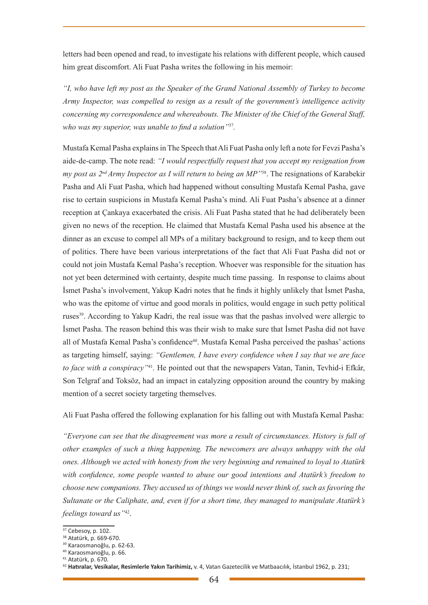letters had been opened and read, to investigate his relations with different people, which caused him great discomfort. Ali Fuat Pasha writes the following in his memoir:

*"I, who have left my post as the Speaker of the Grand National Assembly of Turkey to become Army Inspector, was compelled to resign as a result of the government's intelligence activity concerning my correspondence and whereabouts. The Minister of the Chief of the General Staff, who was my superior, was unable to find a solution"*<sup>37</sup>*.* 

Mustafa Kemal Pasha explains in The Speech that Ali Fuat Pasha only left a note for Fevzi Pasha's aide-de-camp. The note read: *"I would respectfully request that you accept my resignation from my post as 2<sup>nd</sup> Army Inspector as I will return to being an MP<sup>138</sup>. The resignations of Karabekir* Pasha and Ali Fuat Pasha, which had happened without consulting Mustafa Kemal Pasha, gave rise to certain suspicions in Mustafa Kemal Pasha's mind. Ali Fuat Pasha's absence at a dinner reception at Çankaya exacerbated the crisis. Ali Fuat Pasha stated that he had deliberately been given no news of the reception. He claimed that Mustafa Kemal Pasha used his absence at the dinner as an excuse to compel all MPs of a military background to resign, and to keep them out of politics. There have been various interpretations of the fact that Ali Fuat Pasha did not or could not join Mustafa Kemal Pasha's reception. Whoever was responsible for the situation has not yet been determined with certainty, despite much time passing. In response to claims about İsmet Pasha's involvement, Yakup Kadri notes that he finds it highly unlikely that İsmet Pasha, who was the epitome of virtue and good morals in politics, would engage in such petty political ruses39. According to Yakup Kadri, the real issue was that the pashas involved were allergic to İsmet Pasha. The reason behind this was their wish to make sure that İsmet Pasha did not have all of Mustafa Kemal Pasha's confidence40. Mustafa Kemal Pasha perceived the pashas' actions as targeting himself, saying: *"Gentlemen, I have every confidence when I say that we are face to face with a conspiracy"*<sup>41</sup>*.* He pointed out that the newspapers Vatan, Tanin, Tevhid-i Efkâr, Son Telgraf and Toksöz, had an impact in catalyzing opposition around the country by making mention of a secret society targeting themselves.

Ali Fuat Pasha offered the following explanation for his falling out with Mustafa Kemal Pasha:

*"Everyone can see that the disagreement was more a result of circumstances. History is full of other examples of such a thing happening. The newcomers are always unhappy with the old ones. Although we acted with honesty from the very beginning and remained to loyal to Atatürk with confidence, some people wanted to abuse our good intentions and Atatürk's freedom to choose new companions. They accused us of things we would never think of, such as favoring the Sultanate or the Caliphate, and, even if for a short time, they managed to manipulate Atatürk's feelings toward us"*42.

<sup>37</sup> Cebesoy, p. 102.

<sup>38</sup> Atatürk, p. 669-670.

<sup>39</sup> Karaosmanoğlu, p. 62-63.

<sup>40</sup> Karaosmanoğlu, p. 66.

<sup>41</sup> Atatürk, p. 670.

<sup>42</sup> **Hatıralar, Vesikalar, Resimlerle Yakın Tarihimiz,** v. 4, Vatan Gazetecilik ve Matbaacılık, İstanbul 1962, p. 231;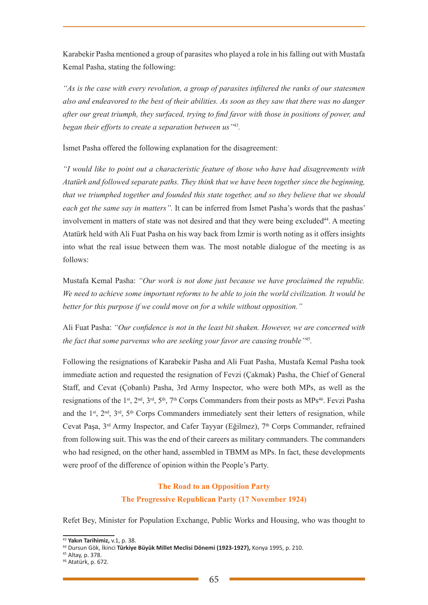Karabekir Pasha mentioned a group of parasites who played a role in his falling out with Mustafa Kemal Pasha, stating the following:

*"As is the case with every revolution, a group of parasites infiltered the ranks of our statesmen also and endeavored to the best of their abilities. As soon as they saw that there was no danger after our great triumph, they surfaced, trying to find favor with those in positions of power, and began their efforts to create a separation between us"*<sup>43</sup>*.* 

İsmet Pasha offered the following explanation for the disagreement:

*"I would like to point out a characteristic feature of those who have had disagreements with Atatürk and followed separate paths. They think that we have been together since the beginning, that we triumphed together and founded this state together, and so they believe that we should each get the same say in matters".* It can be inferred from İsmet Pasha's words that the pashas' involvement in matters of state was not desired and that they were being excluded<sup>44</sup>. A meeting Atatürk held with Ali Fuat Pasha on his way back from İzmir is worth noting as it offers insights into what the real issue between them was. The most notable dialogue of the meeting is as follows:

Mustafa Kemal Pasha: *"Our work is not done just because we have proclaimed the republic. We need to achieve some important reforms to be able to join the world civilization. It would be better for this purpose if we could move on for a while without opposition."*

Ali Fuat Pasha: *"Our confidence is not in the least bit shaken. However, we are concerned with the fact that some parvenus who are seeking your favor are causing trouble"*<sup>45</sup>*.* 

Following the resignations of Karabekir Pasha and Ali Fuat Pasha, Mustafa Kemal Pasha took immediate action and requested the resignation of Fevzi (Çakmak) Pasha, the Chief of General Staff, and Cevat (Çobanlı) Pasha, 3rd Army Inspector, who were both MPs, as well as the resignations of the 1<sup>st</sup>, 2<sup>nd</sup>, 3<sup>rd</sup>, 5<sup>th</sup>, 7<sup>th</sup> Corps Commanders from their posts as MPs<sup>46</sup>. Fevzi Pasha and the 1<sup>st</sup>,  $2<sup>nd</sup>$ ,  $3<sup>rd</sup>$ ,  $5<sup>th</sup>$  Corps Commanders immediately sent their letters of resignation, while Cevat Paşa, 3<sup>rd</sup> Army Inspector, and Cafer Tayyar (Eğilmez), 7<sup>th</sup> Corps Commander, refrained from following suit. This was the end of their careers as military commanders. The commanders who had resigned, on the other hand, assembled in TBMM as MPs. In fact, these developments were proof of the difference of opinion within the People's Party.

# **The Road to an Opposition Party The Progressive Republican Party (17 November 1924)**

Refet Bey, Minister for Population Exchange, Public Works and Housing, who was thought to

<sup>43</sup> **Yakın Tarihimiz,** v.1, p. 38.

<sup>44</sup> Dursun Gök, İkinci **Türkiye Büyük Millet Meclisi Dönemi (1923-1927),** Konya 1995, p. 210.

<sup>45</sup> Altay, p. 378.

<sup>46</sup> Atatürk, p. 672.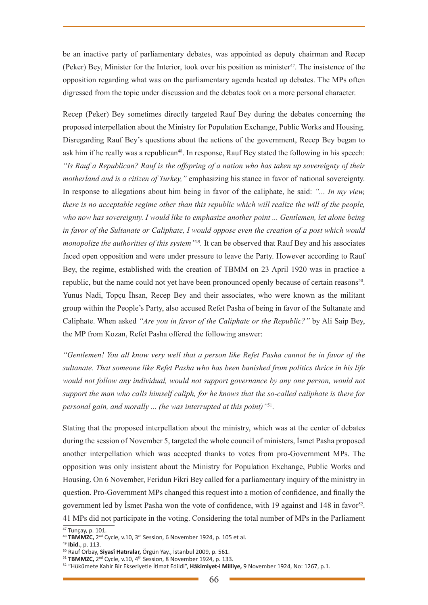be an inactive party of parliamentary debates, was appointed as deputy chairman and Recep (Peker) Bey, Minister for the Interior, took over his position as minister47. The insistence of the opposition regarding what was on the parliamentary agenda heated up debates. The MPs often digressed from the topic under discussion and the debates took on a more personal character.

Recep (Peker) Bey sometimes directly targeted Rauf Bey during the debates concerning the proposed interpellation about the Ministry for Population Exchange, Public Works and Housing. Disregarding Rauf Bey's questions about the actions of the government, Recep Bey began to ask him if he really was a republican<sup>48</sup>. In response, Rauf Bey stated the following in his speech: *"Is Rauf a Republican? Rauf is the offspring of a nation who has taken up sovereignty of their motherland and is a citizen of Turkey,"* emphasizing his stance in favor of national sovereignty. In response to allegations about him being in favor of the caliphate, he said: *"... In my view, there is no acceptable regime other than this republic which will realize the will of the people, who now has sovereignty. I would like to emphasize another point ... Gentlemen, let alone being in favor of the Sultanate or Caliphate, I would oppose even the creation of a post which would monopolize the authorities of this system"*<sup>49</sup>*.* It can be observed that Rauf Bey and his associates faced open opposition and were under pressure to leave the Party. However according to Rauf Bey, the regime, established with the creation of TBMM on 23 April 1920 was in practice a republic, but the name could not yet have been pronounced openly because of certain reasons<sup>50</sup>. Yunus Nadi, Topçu İhsan, Recep Bey and their associates, who were known as the militant group within the People's Party, also accused Refet Pasha of being in favor of the Sultanate and Caliphate. When asked *"Are you in favor of the Caliphate or the Republic?"* by Ali Saip Bey, the MP from Kozan, Refet Pasha offered the following answer:

*"Gentlemen! You all know very well that a person like Refet Pasha cannot be in favor of the sultanate. That someone like Refet Pasha who has been banished from politics thrice in his life would not follow any individual, would not support governance by any one person, would not support the man who calls himself caliph, for he knows that the so-called caliphate is there for personal gain, and morally ... (he was interrupted at this point)"*51.

Stating that the proposed interpellation about the ministry, which was at the center of debates during the session of November 5, targeted the whole council of ministers, İsmet Pasha proposed another interpellation which was accepted thanks to votes from pro-Government MPs. The opposition was only insistent about the Ministry for Population Exchange, Public Works and Housing. On 6 November, Feridun Fikri Bey called for a parliamentary inquiry of the ministry in question. Pro-Government MPs changed this request into a motion of confidence, and finally the government led by Ismet Pasha won the vote of confidence, with 19 against and 148 in favor<sup>52</sup>. 41 MPs did not participate in the voting. Considering the total number of MPs in the Parliament

<sup>&</sup>lt;sup>47</sup> Tunçay, p. 101.

<sup>48</sup> TBMMZC, 2<sup>nd</sup> Cycle, v.10, 3<sup>rd</sup> Session, 6 November 1924, p. 105 et al.

<sup>49</sup> **Ibid.**, p. 113.

<sup>50</sup> Rauf Orbay, **Siyasî Hatıralar,** Örgün Yay., İstanbul 2009, p. 561.

<sup>51</sup> **TBMMZC,** 2nd Cycle, v.10, 4th Session, 8 November 1924, p. 133.

<sup>52 &</sup>quot;Hükümete Kahir Bir Ekseriyetle İtimat Edildi", **Hâkimiyet-i Milliye,** 9 November 1924, No: 1267, p.1.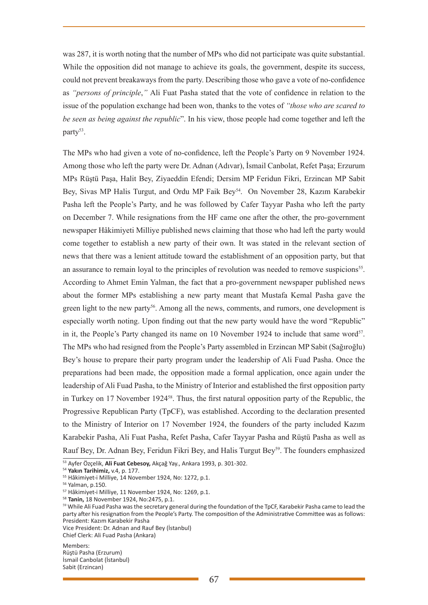was 287, it is worth noting that the number of MPs who did not participate was quite substantial. While the opposition did not manage to achieve its goals, the government, despite its success, could not prevent breakaways from the party. Describing those who gave a vote of no-confidence as *"persons of principle*,*"* Ali Fuat Pasha stated that the vote of confidence in relation to the issue of the population exchange had been won, thanks to the votes of *"those who are scared to be seen as being against the republic*". In his view, those people had come together and left the party<sup>53</sup>.

The MPs who had given a vote of no-confidence, left the People's Party on 9 November 1924. Among those who left the party were Dr. Adnan (Adıvar), İsmail Canbolat, Refet Paşa; Erzurum MPs Rüştü Paşa, Halit Bey, Ziyaeddin Efendi; Dersim MP Feridun Fikri, Erzincan MP Sabit Bey, Sivas MP Halis Turgut, and Ordu MP Faik Bey<sup>54</sup>. On November 28, Kazım Karabekir Pasha left the People's Party, and he was followed by Cafer Tayyar Pasha who left the party on December 7. While resignations from the HF came one after the other, the pro-government newspaper Hâkimiyeti Milliye published news claiming that those who had left the party would come together to establish a new party of their own. It was stated in the relevant section of news that there was a lenient attitude toward the establishment of an opposition party, but that an assurance to remain loyal to the principles of revolution was needed to remove suspicions<sup>55</sup>. According to Ahmet Emin Yalman, the fact that a pro-government newspaper published news about the former MPs establishing a new party meant that Mustafa Kemal Pasha gave the green light to the new party<sup>56</sup>. Among all the news, comments, and rumors, one development is especially worth noting. Upon finding out that the new party would have the word "Republic" in it, the People's Party changed its name on 10 November 1924 to include that same word<sup>57</sup>. The MPs who had resigned from the People's Party assembled in Erzincan MP Sabit (Sağıroğlu) Bey's house to prepare their party program under the leadership of Ali Fuad Pasha. Once the preparations had been made, the opposition made a formal application, once again under the leadership of Ali Fuad Pasha, to the Ministry of Interior and established the first opposition party in Turkey on 17 November 1924<sup>58</sup>. Thus, the first natural opposition party of the Republic, the Progressive Republican Party (TpCF), was established. According to the declaration presented to the Ministry of Interior on 17 November 1924, the founders of the party included Kazım Karabekir Pasha, Ali Fuat Pasha, Refet Pasha, Cafer Tayyar Pasha and Rüştü Pasha as well as Rauf Bey, Dr. Adnan Bey, Feridun Fikri Bey, and Halis Turgut Bey59. The founders emphasized

Members: Rüştü Pasha (Erzurum) İsmail Canbolat (İstanbul) Sabit (Erzincan)

<sup>53</sup> Ayfer Özçelik, **Ali Fuat Cebesoy,** Akçağ Yay., Ankara 1993, p. 301-302.

<sup>54</sup> **Yakın Tarihimiz,** v.4, p. 177.

<sup>55</sup> Hâkimiyet-i Milliye, 14 November 1924, No: 1272, p.1.

<sup>56</sup> Yalman, p.150.

<sup>57</sup> Hâkimiyet-i Milliye, 11 November 1924, No: 1269, p.1.

<sup>58</sup> **Tanin,** 18 November 1924, No:2475, p.1.

<sup>59</sup> While Ali Fuad Pasha was the secretary general during the foundation of the TpCF, Karabekir Pasha came to lead the party after his resignation from the People's Party. The composition of the Administrative Committee was as follows: President: Kazım Karabekir Pasha

Vice President: Dr. Adnan and Rauf Bey (İstanbul)

Chief Clerk: Ali Fuad Pasha (Ankara)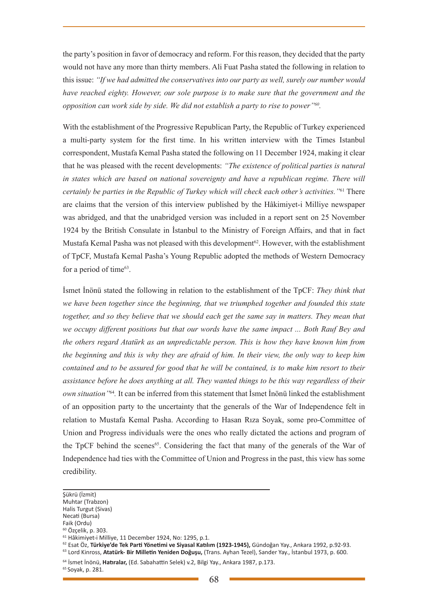the party's position in favor of democracy and reform. For this reason, they decided that the party would not have any more than thirty members. Ali Fuat Pasha stated the following in relation to this issue: *"If we had admitted the conservatives into our party as well, surely our number would have reached eighty. However, our sole purpose is to make sure that the government and the opposition can work side by side. We did not establish a party to rise to power"60.* 

With the establishment of the Progressive Republican Party, the Republic of Turkey experienced a multi-party system for the first time. In his written interview with the Times Istanbul correspondent, Mustafa Kemal Pasha stated the following on 11 December 1924, making it clear that he was pleased with the recent developments: *"The existence of political parties is natural*  in states which are based on national sovereignty and have a republican regime. There will *certainly be parties in the Republic of Turkey which will check each other's activities."*61 There are claims that the version of this interview published by the Hâkimiyet-i Milliye newspaper was abridged, and that the unabridged version was included in a report sent on 25 November 1924 by the British Consulate in İstanbul to the Ministry of Foreign Affairs, and that in fact Mustafa Kemal Pasha was not pleased with this development<sup>62</sup>. However, with the establishment of TpCF, Mustafa Kemal Pasha's Young Republic adopted the methods of Western Democracy for a period of time $63$ .

İsmet İnönü stated the following in relation to the establishment of the TpCF: *They think that we have been together since the beginning, that we triumphed together and founded this state together, and so they believe that we should each get the same say in matters. They mean that we occupy different positions but that our words have the same impact ... Both Rauf Bey and the others regard Atatürk as an unpredictable person. This is how they have known him from the beginning and this is why they are afraid of him. In their view, the only way to keep him contained and to be assured for good that he will be contained, is to make him resort to their assistance before he does anything at all. They wanted things to be this way regardless of their own situation"*<sup>64</sup>*.* It can be inferred from this statement that İsmet İnönü linked the establishment of an opposition party to the uncertainty that the generals of the War of Independence felt in relation to Mustafa Kemal Pasha. According to Hasan Rıza Soyak, some pro-Committee of Union and Progress individuals were the ones who really dictated the actions and program of the TpCF behind the scenes<sup>65</sup>. Considering the fact that many of the generals of the War of Independence had ties with the Committee of Union and Progress in the past, this view has some credibility.

- Muhtar (Trabzon)
- Halis Turgut (Sivas) Necati (Bursa)

Şükrü (İzmit)

Faik (Ordu)

 $^{60}$  Özçelik, p. 303.<br> $^{61}$  Hâkimiyet-i Milliye, 11 December 1924, No: 1295, p.1.

<sup>&</sup>lt;sup>62</sup> Esat Öz, **Türkiye'de Tek Parti Yönetimi ve Siyasal Katılım (1923-1945),** Gündoğan Yay., Ankara 1992, p.92-93.<br><sup>63</sup> Lord Kinross, **Atatürk- Bir Milletin Yeniden Doğuşu,** (Trans. Ayhan Tezel), Sander Yay., İstanbul 1973

<sup>64</sup> İsmet İnönü, **Hatıralar,** (Ed. Sabahattin Selek) v.2, Bilgi Yay., Ankara 1987, p.173.

<sup>65</sup> Soyak, p. 281.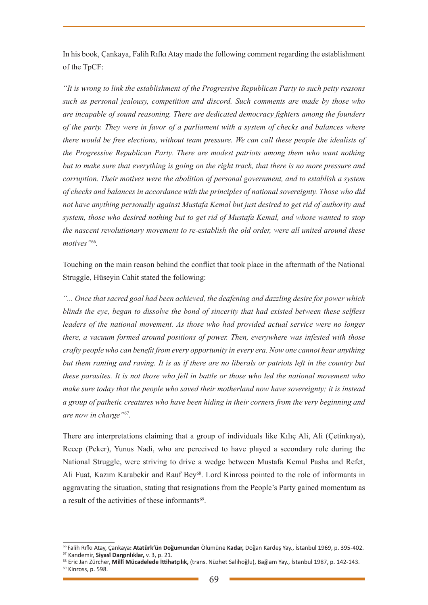In his book, Çankaya, Falih Rıfkı Atay made the following comment regarding the establishment of the TpCF:

*"It is wrong to link the establishment of the Progressive Republican Party to such petty reasons such as personal jealousy, competition and discord. Such comments are made by those who are incapable of sound reasoning. There are dedicated democracy fighters among the founders of the party. They were in favor of a parliament with a system of checks and balances where there would be free elections, without team pressure. We can call these people the idealists of the Progressive Republican Party. There are modest patriots among them who want nothing but to make sure that everything is going on the right track, that there is no more pressure and corruption. Their motives were the abolition of personal government, and to establish a system of checks and balances in accordance with the principles of national sovereignty. Those who did not have anything personally against Mustafa Kemal but just desired to get rid of authority and system, those who desired nothing but to get rid of Mustafa Kemal, and whose wanted to stop the nascent revolutionary movement to re-establish the old order, were all united around these*  motives"<sup>66</sup>.

Touching on the main reason behind the conflict that took place in the aftermath of the National Struggle, Hüseyin Cahit stated the following:

*"... Once that sacred goal had been achieved, the deafening and dazzling desire for power which blinds the eye, began to dissolve the bond of sincerity that had existed between these selfless leaders of the national movement. As those who had provided actual service were no longer there, a vacuum formed around positions of power. Then, everywhere was infested with those crafty people who can benefit from every opportunity in every era. Now one cannot hear anything but them ranting and raving. It is as if there are no liberals or patriots left in the country but these parasites. It is not those who fell in battle or those who led the national movement who make sure today that the people who saved their motherland now have sovereignty; it is instead a group of pathetic creatures who have been hiding in their corners from the very beginning and are now in charge"*<sup>67</sup>*.* 

There are interpretations claiming that a group of individuals like Kılıç Ali, Ali (Çetinkaya), Recep (Peker), Yunus Nadi, who are perceived to have played a secondary role during the National Struggle, were striving to drive a wedge between Mustafa Kemal Pasha and Refet, Ali Fuat, Kazım Karabekir and Rauf Bey<sup>68</sup>. Lord Kinross pointed to the role of informants in aggravating the situation, stating that resignations from the People's Party gained momentum as a result of the activities of these informants<sup>69</sup>.

<sup>&</sup>lt;sup>66</sup> Falih Rıfkı Atay, Çankaya**: Atatürk'ün Doğumundan** Ölümüne **Kadar,** Doğan Kardeş Yay., İstanbul 1969, p. 395-402.<br><sup>67</sup> Kandemir, **Siyasî Dargınlıklar,** v. 3, p. 21.

<sup>68</sup> Eric Jan Zürcher, **Millî Mücadelede İttihatçılık,** (trans. Nüzhet Salihoğlu), Bağlam Yay., İstanbul 1987, p. 142-143. 69 Kinross, p. 598.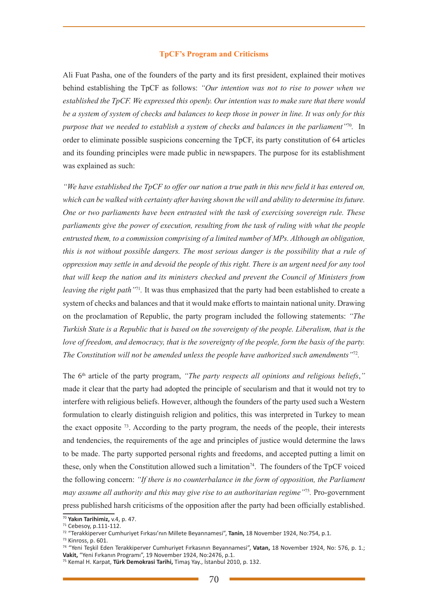#### **TpCF's Program and Criticisms**

Ali Fuat Pasha, one of the founders of the party and its first president, explained their motives behind establishing the TpCF as follows: *"Our intention was not to rise to power when we established the TpCF. We expressed this openly. Our intention was to make sure that there would be a system of system of checks and balances to keep those in power in line. It was only for this purpose that we needed to establish a system of checks and balances in the parliament"*<sup>70</sup>*.* In order to eliminate possible suspicions concerning the TpCF, its party constitution of 64 articles and its founding principles were made public in newspapers. The purpose for its establishment was explained as such:

*"We have established the TpCF to offer our nation a true path in this new field it has entered on, which can be walked with certainty after having shown the will and ability to determine its future. One or two parliaments have been entrusted with the task of exercising sovereign rule. These parliaments give the power of execution, resulting from the task of ruling with what the people entrusted them, to a commission comprising of a limited number of MPs. Although an obligation, this is not without possible dangers. The most serious danger is the possibility that a rule of oppression may settle in and devoid the people of this right. There is an urgent need for any tool that will keep the nation and its ministers checked and prevent the Council of Ministers from leaving the right path"*<sup>71</sup>*.* It was thus emphasized that the party had been established to create a system of checks and balances and that it would make efforts to maintain national unity. Drawing on the proclamation of Republic, the party program included the following statements: *"The Turkish State is a Republic that is based on the sovereignty of the people. Liberalism, that is the love of freedom, and democracy, that is the sovereignty of the people, form the basis of the party. The Constitution will not be amended unless the people have authorized such amendments"*<sup>72</sup>*.* 

The 6<sup>th</sup> article of the party program, *"The party respects all opinions and religious beliefs*," made it clear that the party had adopted the principle of secularism and that it would not try to interfere with religious beliefs. However, although the founders of the party used such a Western formulation to clearly distinguish religion and politics, this was interpreted in Turkey to mean the exact opposite 73. According to the party program, the needs of the people, their interests and tendencies, the requirements of the age and principles of justice would determine the laws to be made. The party supported personal rights and freedoms, and accepted putting a limit on these, only when the Constitution allowed such a limitation<sup>74</sup>. The founders of the TpCF voiced the following concern: *"If there is no counterbalance in the form of opposition, the Parliament may assume all authority and this may give rise to an authoritarian regime"*<sup>75</sup>*.* Pro-government press published harsh criticisms of the opposition after the party had been officially established.

<sup>70</sup> **Yakın Tarihimiz,** v.4, p. 47.

<sup>71</sup> Cebesoy, p.111-112.

<sup>72 &</sup>quot;Terakkiperver Cumhuriyet Fırkası'nın Millete Beyannamesi", **Tanin,** 18 November 1924, No:754, p.1.

<sup>73</sup> Kinross, p. 601.

<sup>74 &</sup>quot;Yeni Teşkil Eden Terakkiperver Cumhuriyet Fırkasının Beyannamesi", **Vatan,** 18 November 1924, No: 576, p. 1.; **Vakit,** "Yeni Fırkanın Programı", 19 November 1924, No:2476, p.1.

<sup>75</sup> Kemal H. Karpat, **Türk Demokrasi Tarihi,** Timaş Yay., İstanbul 2010, p. 132.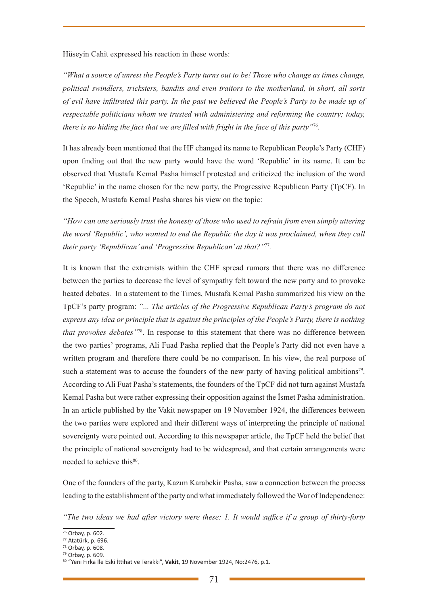Hüseyin Cahit expressed his reaction in these words:

*"What a source of unrest the People's Party turns out to be! Those who change as times change, political swindlers, tricksters, bandits and even traitors to the motherland, in short, all sorts of evil have infiltrated this party. In the past we believed the People's Party to be made up of respectable politicians whom we trusted with administering and reforming the country; today, there is no hiding the fact that we are filled with fright in the face of this party"*76.

It has already been mentioned that the HF changed its name to Republican People's Party (CHF) upon finding out that the new party would have the word 'Republic' in its name. It can be observed that Mustafa Kemal Pasha himself protested and criticized the inclusion of the word 'Republic' in the name chosen for the new party, the Progressive Republican Party (TpCF). In the Speech, Mustafa Kemal Pasha shares his view on the topic:

*"How can one seriously trust the honesty of those who used to refrain from even simply uttering the word 'Republic', who wanted to end the Republic the day it was proclaimed, when they call their party 'Republican' and 'Progressive Republican' at that?"*<sup>77</sup>*.* 

It is known that the extremists within the CHF spread rumors that there was no difference between the parties to decrease the level of sympathy felt toward the new party and to provoke heated debates. In a statement to the Times, Mustafa Kemal Pasha summarized his view on the TpCF's party program: *"... The articles of the Progressive Republican Party's program do not express any idea or principle that is against the principles of the People's Party, there is nothing that provokes debates"*78. In response to this statement that there was no difference between the two parties' programs, Ali Fuad Pasha replied that the People's Party did not even have a written program and therefore there could be no comparison. In his view, the real purpose of such a statement was to accuse the founders of the new party of having political ambitions<sup>79</sup>. According to Ali Fuat Pasha's statements, the founders of the TpCF did not turn against Mustafa Kemal Pasha but were rather expressing their opposition against the İsmet Pasha administration. In an article published by the Vakit newspaper on 19 November 1924, the differences between the two parties were explored and their different ways of interpreting the principle of national sovereignty were pointed out. According to this newspaper article, the TpCF held the belief that the principle of national sovereignty had to be widespread, and that certain arrangements were needed to achieve this<sup>80</sup>.

One of the founders of the party, Kazım Karabekir Pasha, saw a connection between the process leading to the establishment of the party and what immediately followed the War of Independence:

*<sup>&</sup>quot;The two ideas we had after victory were these: 1. It would suffice if a group of thirty-forty* 

<sup>76</sup> Orbay, p. 602.

<sup>77</sup> Atatürk, p. 696.

<sup>78</sup> Orbay, p. 608.

<sup>79</sup> Orbay, p. 609.

<sup>80 &</sup>quot;Yeni Fırka İle Eski İttihat ve Terakki", **Vakit**, 19 November 1924, No:2476, p.1.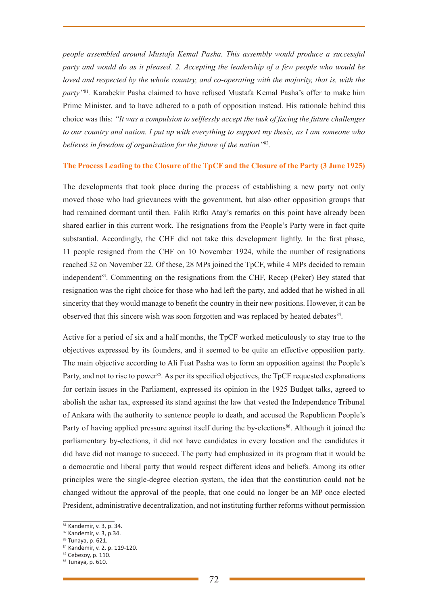*people assembled around Mustafa Kemal Pasha. This assembly would produce a successful party and would do as it pleased. 2. Accepting the leadership of a few people who would be loved and respected by the whole country, and co-operating with the majority, that is, with the party"*<sup>81</sup>*.* Karabekir Pasha claimed to have refused Mustafa Kemal Pasha's offer to make him Prime Minister, and to have adhered to a path of opposition instead. His rationale behind this choice was this: *"It was a compulsion to selflessly accept the task of facing the future challenges to our country and nation. I put up with everything to support my thesis, as I am someone who believes in freedom of organization for the future of the nation"*<sup>82</sup>*.* 

#### **The Process Leading to the Closure of the TpCF and the Closure of the Party (3 June 1925)**

The developments that took place during the process of establishing a new party not only moved those who had grievances with the government, but also other opposition groups that had remained dormant until then. Falih Rıfkı Atay's remarks on this point have already been shared earlier in this current work. The resignations from the People's Party were in fact quite substantial. Accordingly, the CHF did not take this development lightly. In the first phase, 11 people resigned from the CHF on 10 November 1924, while the number of resignations reached 32 on November 22. Of these, 28 MPs joined the TpCF, while 4 MPs decided to remain independent<sup>83</sup>. Commenting on the resignations from the CHF, Recep (Peker) Bey stated that resignation was the right choice for those who had left the party, and added that he wished in all sincerity that they would manage to benefit the country in their new positions. However, it can be observed that this sincere wish was soon forgotten and was replaced by heated debates84.

Active for a period of six and a half months, the TpCF worked meticulously to stay true to the objectives expressed by its founders, and it seemed to be quite an effective opposition party. The main objective according to Ali Fuat Pasha was to form an opposition against the People's Party, and not to rise to power<sup>85</sup>. As per its specified objectives, the TpCF requested explanations for certain issues in the Parliament, expressed its opinion in the 1925 Budget talks, agreed to abolish the ashar tax, expressed its stand against the law that vested the Independence Tribunal of Ankara with the authority to sentence people to death, and accused the Republican People's Party of having applied pressure against itself during the by-elections<sup>86</sup>. Although it joined the parliamentary by-elections, it did not have candidates in every location and the candidates it did have did not manage to succeed. The party had emphasized in its program that it would be a democratic and liberal party that would respect different ideas and beliefs. Among its other principles were the single-degree election system, the idea that the constitution could not be changed without the approval of the people, that one could no longer be an MP once elected President, administrative decentralization, and not instituting further reforms without permission

<sup>81</sup> Kandemir, v. 3, p. 34.

<sup>82</sup> Kandemir, v. 3, p.34.

<sup>83</sup> Tunaya, p. 621.

<sup>84</sup> Kandemir, v. 2, p. 119-120.

<sup>85</sup> Cebesoy, p. 110.

<sup>86</sup> Tunaya, p. 610.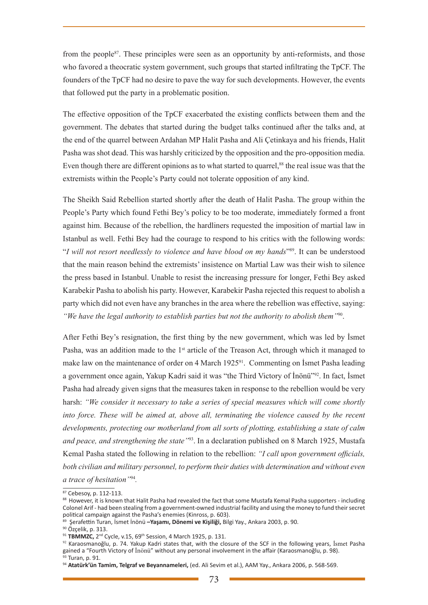from the people87. These principles were seen as an opportunity by anti-reformists, and those who favored a theocratic system government, such groups that started infiltrating the TpCF. The founders of the TpCF had no desire to pave the way for such developments. However, the events that followed put the party in a problematic position.

The effective opposition of the TpCF exacerbated the existing conflicts between them and the government. The debates that started during the budget talks continued after the talks and, at the end of the quarrel between Ardahan MP Halit Pasha and Ali Çetinkaya and his friends, Halit Pasha was shot dead. This was harshly criticized by the opposition and the pro-opposition media. Even though there are different opinions as to what started to quarrel,<sup>88</sup> the real issue was that the extremists within the People's Party could not tolerate opposition of any kind.

The Sheikh Said Rebellion started shortly after the death of Halit Pasha. The group within the People's Party which found Fethi Bey's policy to be too moderate, immediately formed a front against him. Because of the rebellion, the hardliners requested the imposition of martial law in Istanbul as well. Fethi Bey had the courage to respond to his critics with the following words: "*I will not resort needlessly to violence and have blood on my hands*"89. It can be understood that the main reason behind the extremists' insistence on Martial Law was their wish to silence the press based in Istanbul. Unable to resist the increasing pressure for longer, Fethi Bey asked Karabekir Pasha to abolish his party. However, Karabekir Pasha rejected this request to abolish a party which did not even have any branches in the area where the rebellion was effective, saying: *"We have the legal authority to establish parties but not the authority to abolish them"*90.

After Fethi Bey's resignation, the first thing by the new government, which was led by İsmet Pasha, was an addition made to the 1<sup>st</sup> article of the Treason Act, through which it managed to make law on the maintenance of order on 4 March 1925<sup>91</sup>. Commenting on İsmet Pasha leading a government once again, Yakup Kadri said it was "the Third Victory of İnönü"<sup>92</sup>. In fact, İsmet Pasha had already given signs that the measures taken in response to the rebellion would be very harsh: *"We consider it necessary to take a series of special measures which will come shortly into force. These will be aimed at, above all, terminating the violence caused by the recent developments, protecting our motherland from all sorts of plotting, establishing a state of calm and peace, and strengthening the state"*93. In a declaration published on 8 March 1925, Mustafa Kemal Pasha stated the following in relation to the rebellion: *"I call upon government officials, both civilian and military personnel, to perform their duties with determination and without even a trace of hesitation"*<sup>94</sup>*.*

 $87$  Cebesoy, p. 112-113.

<sup>88</sup> However, it is known that Halit Pasha had revealed the fact that some Mustafa Kemal Pasha supporters - including Colonel Arif - had been stealing from a government-owned industrial facility and using the money to fund their secret political campaign against the Pasha's enemies (Kinross, p. 603).

<sup>89</sup> Şerafettin Turan, İsmet İnönü **–Yaşamı, Dönemi ve Kişiliği,** Bilgi Yay., Ankara 2003, p. 90.

<sup>&</sup>lt;sup>90</sup> Özcelik, p. 313.

<sup>91</sup> TBMMZC, 2<sup>nd</sup> Cycle, v.15, 69<sup>th</sup> Session, 4 March 1925, p. 131.

 $92$  Karaosmanoğlu, p. 74. Yakup Kadri states that, with the closure of the SCF in the following years, İsmet Pasha gained a "Fourth Victory of İnönü" without any personal involvement in the affair (Karaosmanoğlu, p. 98). 93).

<sup>94</sup> **Atatürk'ün Tamim, Telgraf ve Beyannameleri,** (ed. Ali Sevim et al.), AAM Yay., Ankara 2006, p. 568-569.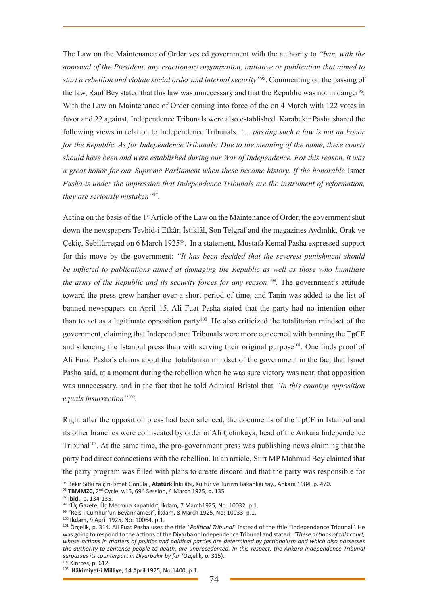The Law on the Maintenance of Order vested government with the authority to *"ban, with the approval of the President, any reactionary organization, initiative or publication that aimed to start a rebellion and violate social order and internal security"*<sup>95</sup>. Commenting on the passing of the law, Rauf Bey stated that this law was unnecessary and that the Republic was not in danger<sup>96</sup>. With the Law on Maintenance of Order coming into force of the on 4 March with 122 votes in favor and 22 against, Independence Tribunals were also established. Karabekir Pasha shared the following views in relation to Independence Tribunals: *"... passing such a law is not an honor for the Republic. As for Independence Tribunals: Due to the meaning of the name, these courts should have been and were established during our War of Independence. For this reason, it was a great honor for our Supreme Parliament when these became history. If the honorable* İsmet *Pasha is under the impression that Independence Tribunals are the instrument of reformation, they are seriously mistaken"*97.

Acting on the basis of the 1<sup>st</sup> Article of the Law on the Maintenance of Order, the government shut down the newspapers Tevhid-i Efkâr, İstiklâl, Son Telgraf and the magazines Aydınlık, Orak ve Çekiç, Sebilürreşad on 6 March 192598. In a statement, Mustafa Kemal Pasha expressed support for this move by the government: *"It has been decided that the severest punishment should be inflicted to publications aimed at damaging the Republic as well as those who humiliate the army of the Republic and its security forces for any reason"*<sup>99</sup>*.* The government's attitude toward the press grew harsher over a short period of time, and Tanin was added to the list of banned newspapers on April 15. Ali Fuat Pasha stated that the party had no intention other than to act as a legitimate opposition party<sup>100</sup>. He also criticized the totalitarian mindset of the government, claiming that Independence Tribunals were more concerned with banning the TpCF and silencing the Istanbul press than with serving their original purpose<sup>101</sup>. One finds proof of Ali Fuad Pasha's claims about the totalitarian mindset of the government in the fact that İsmet Pasha said, at a moment during the rebellion when he was sure victory was near, that opposition was unnecessary, and in the fact that he told Admiral Bristol that *"In this country, opposition equals insurrection"*<sup>102</sup>*.*

Right after the opposition press had been silenced, the documents of the TpCF in Istanbul and its other branches were confiscated by order of Ali Çetinkaya, head of the Ankara Independence Tribunal<sup>103</sup>. At the same time, the pro-government press was publishing news claiming that the party had direct connections with the rebellion. In an article, Siirt MP Mahmud Bey claimed that the party program was filled with plans to create discord and that the party was responsible for

<sup>95</sup> Bekir Sıtkı Yalçın-İsmet Gönülal, **Atatürk** İnkılâbı**,** Kültür ve Turizm Bakanlığı Yay., Ankara 1984, p. 470.

<sup>96</sup> TBMMZC, 2<sup>nd</sup> Cycle, v.15, 69<sup>th</sup> Session, 4 March 1925, p. 135.

<sup>97</sup> **Ibid.**, p. 134-135.

<sup>98 &</sup>quot;Üç Gazete, Üç Mecmua Kapatıldı", İkdam**,** 7 March1925, No: 10032, p.1.

<sup>99</sup> "Reis-i Cumhur'un Beyannamesi", İkdam**,** 8 March 1925, No: 10033, p.1.

<sup>100</sup> **İkdam,** 9 April 1925, No: 10064, p.1.

<sup>101</sup> Özçelik, p. 314. Ali Fuat Pasha uses the title *"Political Tribunal"* instead of the title "Independence Tribunal". He was going to respond to the actions of the Diyarbakır Independence Tribunal and stated: *"These actions of this court, whose actions in matters of politics and political parties are determined by factionalism and which also possesses the authority to sentence people to death, are unprecedented. In this respect, the Ankara Independence Tribunal surpasses its counterpart in Diyarbakır by far (*Özçelik*, p.* 315).

 $102$  Kinross, p. 612.

<sup>103</sup> **Hâkimiyet-i Milliye,** 14 April 1925, No:1400, p.1.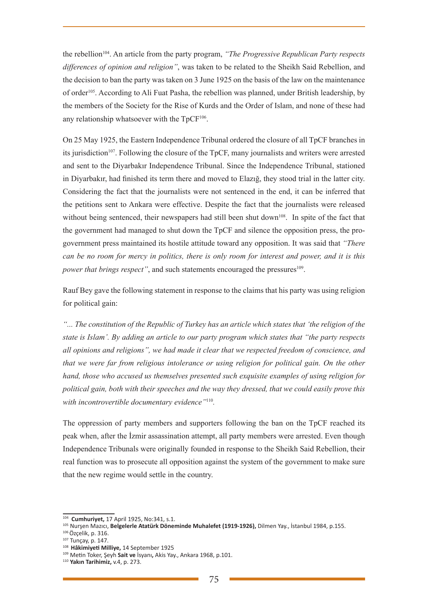the rebellion104. An article from the party program, *"The Progressive Republican Party respects differences of opinion and religion"*, was taken to be related to the Sheikh Said Rebellion, and the decision to ban the party was taken on 3 June 1925 on the basis of the law on the maintenance of order105. According to Ali Fuat Pasha, the rebellion was planned, under British leadership, by the members of the Society for the Rise of Kurds and the Order of Islam, and none of these had any relationship whatsoever with the TpCF<sup>106</sup>.

On 25 May 1925, the Eastern Independence Tribunal ordered the closure of all TpCF branches in its jurisdiction<sup>107</sup>. Following the closure of the TpCF, many journalists and writers were arrested and sent to the Diyarbakır Independence Tribunal. Since the Independence Tribunal, stationed in Diyarbakır, had finished its term there and moved to Elazığ, they stood trial in the latter city. Considering the fact that the journalists were not sentenced in the end, it can be inferred that the petitions sent to Ankara were effective. Despite the fact that the journalists were released without being sentenced, their newspapers had still been shut down<sup>108</sup>. In spite of the fact that the government had managed to shut down the TpCF and silence the opposition press, the progovernment press maintained its hostile attitude toward any opposition. It was said that *"There can be no room for mercy in politics, there is only room for interest and power, and it is this power that brings respect"*, and such statements encouraged the pressures<sup>109</sup>.

Rauf Bey gave the following statement in response to the claims that his party was using religion for political gain:

*"... The constitution of the Republic of Turkey has an article which states that 'the religion of the state is Islam'. By adding an article to our party program which states that "the party respects all opinions and religions", we had made it clear that we respected freedom of conscience, and that we were far from religious intolerance or using religion for political gain. On the other hand, those who accused us themselves presented such exquisite examples of using religion for political gain, both with their speeches and the way they dressed, that we could easily prove this with incontrovertible documentary evidence"*<sup>110</sup>*.* 

The oppression of party members and supporters following the ban on the TpCF reached its peak when, after the İzmir assassination attempt, all party members were arrested. Even though Independence Tribunals were originally founded in response to the Sheikh Said Rebellion, their real function was to prosecute all opposition against the system of the government to make sure that the new regime would settle in the country.

<sup>&</sup>lt;sup>104</sup> Cumhuriyet, 17 April 1925, No:341, s.1.<br><sup>105</sup> Nurşen Mazıcı, Belgelerle Atatürk Döneminde Muhalefet (1919-1926), Dilmen Yay., İstanbul 1984, p.155.<br><sup>106</sup> Özcelik. p. 316.

<sup>&</sup>lt;sup>107</sup> Tunçay, p. 147.<br><sup>108</sup> Hâkimiyeti Milliye, 14 September 1925

<sup>109</sup> Metin Toker, Şeyh **Sait ve** İsyanı**,** Akis Yay., Ankara 1968, p.101.

<sup>110</sup> **Yakın Tarihimiz,** v.4, p. 273.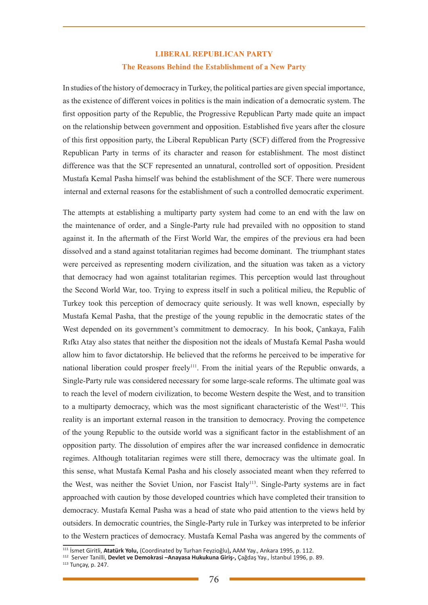# **LIBERAL REPUBLICAN PARTY The Reasons Behind the Establishment of a New Party**

In studies of the history of democracy in Turkey, the political parties are given special importance, as the existence of different voices in politics is the main indication of a democratic system. The first opposition party of the Republic, the Progressive Republican Party made quite an impact on the relationship between government and opposition. Established five years after the closure of this first opposition party, the Liberal Republican Party (SCF) differed from the Progressive Republican Party in terms of its character and reason for establishment. The most distinct difference was that the SCF represented an unnatural, controlled sort of opposition. President Mustafa Kemal Pasha himself was behind the establishment of the SCF. There were numerous internal and external reasons for the establishment of such a controlled democratic experiment.

The attempts at establishing a multiparty party system had come to an end with the law on the maintenance of order, and a Single-Party rule had prevailed with no opposition to stand against it. In the aftermath of the First World War, the empires of the previous era had been dissolved and a stand against totalitarian regimes had become dominant. The triumphant states were perceived as representing modern civilization, and the situation was taken as a victory that democracy had won against totalitarian regimes. This perception would last throughout the Second World War, too. Trying to express itself in such a political milieu, the Republic of Turkey took this perception of democracy quite seriously. It was well known, especially by Mustafa Kemal Pasha, that the prestige of the young republic in the democratic states of the West depended on its government's commitment to democracy. In his book, Cankaya, Falih Rıfkı Atay also states that neither the disposition not the ideals of Mustafa Kemal Pasha would allow him to favor dictatorship. He believed that the reforms he perceived to be imperative for national liberation could prosper freely<sup>111</sup>. From the initial years of the Republic onwards, a Single-Party rule was considered necessary for some large-scale reforms. The ultimate goal was to reach the level of modern civilization, to become Western despite the West, and to transition to a multiparty democracy, which was the most significant characteristic of the West<sup>112</sup>. This reality is an important external reason in the transition to democracy. Proving the competence of the young Republic to the outside world was a significant factor in the establishment of an opposition party. The dissolution of empires after the war increased confidence in democratic regimes. Although totalitarian regimes were still there, democracy was the ultimate goal. In this sense, what Mustafa Kemal Pasha and his closely associated meant when they referred to the West, was neither the Soviet Union, nor Fascist Italy<sup>113</sup>. Single-Party systems are in fact approached with caution by those developed countries which have completed their transition to democracy. Mustafa Kemal Pasha was a head of state who paid attention to the views held by outsiders. In democratic countries, the Single-Party rule in Turkey was interpreted to be inferior to the Western practices of democracy. Mustafa Kemal Pasha was angered by the comments of

<sup>111</sup> İsmet Giritli, **Atatürk Yolu,** (Coordinated by Turhan Feyzioğlu)**,** AAM Yay., Ankara 1995, p. 112.

<sup>112</sup> Server Tanilli, **Devlet ve Demokrasi –Anayasa Hukukuna Giriş-,** Çağdaş Yay., İstanbul 1996, p. 89.

<sup>113</sup> Tunçay, p. 247.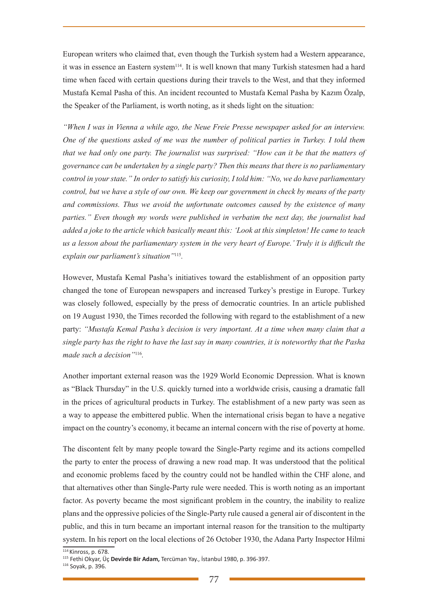European writers who claimed that, even though the Turkish system had a Western appearance, it was in essence an Eastern system<sup>114</sup>. It is well known that many Turkish statesmen had a hard time when faced with certain questions during their travels to the West, and that they informed Mustafa Kemal Pasha of this. An incident recounted to Mustafa Kemal Pasha by Kazım Özalp, the Speaker of the Parliament, is worth noting, as it sheds light on the situation:

*"When I was in Vienna a while ago, the Neue Freie Presse newspaper asked for an interview. One of the questions asked of me was the number of political parties in Turkey. I told them that we had only one party. The journalist was surprised: "How can it be that the matters of governance can be undertaken by a single party? Then this means that there is no parliamentary control in your state." In order to satisfy his curiosity, I told him: "No, we do have parliamentary control, but we have a style of our own. We keep our government in check by means of the party and commissions. Thus we avoid the unfortunate outcomes caused by the existence of many parties." Even though my words were published in verbatim the next day, the journalist had added a joke to the article which basically meant this: 'Look at this simpleton! He came to teach us a lesson about the parliamentary system in the very heart of Europe.' Truly it is difficult the explain our parliament's situation"*<sup>115</sup>*.* 

However, Mustafa Kemal Pasha's initiatives toward the establishment of an opposition party changed the tone of European newspapers and increased Turkey's prestige in Europe. Turkey was closely followed, especially by the press of democratic countries. In an article published on 19 August 1930, the Times recorded the following with regard to the establishment of a new party: *"Mustafa Kemal Pasha's decision is very important. At a time when many claim that a single party has the right to have the last say in many countries, it is noteworthy that the Pasha made such a decision"*<sup>116</sup>*.*

Another important external reason was the 1929 World Economic Depression. What is known as "Black Thursday" in the U.S. quickly turned into a worldwide crisis, causing a dramatic fall in the prices of agricultural products in Turkey. The establishment of a new party was seen as a way to appease the embittered public. When the international crisis began to have a negative impact on the country's economy, it became an internal concern with the rise of poverty at home.

The discontent felt by many people toward the Single-Party regime and its actions compelled the party to enter the process of drawing a new road map. It was understood that the political and economic problems faced by the country could not be handled within the CHF alone, and that alternatives other than Single-Party rule were needed. This is worth noting as an important factor. As poverty became the most significant problem in the country, the inability to realize plans and the oppressive policies of the Single-Party rule caused a general air of discontent in the public, and this in turn became an important internal reason for the transition to the multiparty system. In his report on the local elections of 26 October 1930, the Adana Party Inspector Hilmi

<sup>114</sup> Kinross, p. 678. 115 Fethi Okyar, Üç **Devirde Bir Adam,** Tercüman Yay., İstanbul 1980, p. 396-397.

<sup>116</sup> Soyak, p. 396.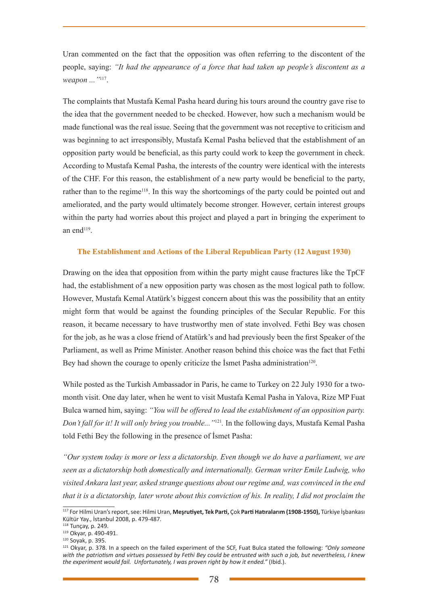Uran commented on the fact that the opposition was often referring to the discontent of the people, saying: *"It had the appearance of a force that had taken up people's discontent as a weapon ..."*117.

The complaints that Mustafa Kemal Pasha heard during his tours around the country gave rise to the idea that the government needed to be checked. However, how such a mechanism would be made functional was the real issue. Seeing that the government was not receptive to criticism and was beginning to act irresponsibly, Mustafa Kemal Pasha believed that the establishment of an opposition party would be beneficial, as this party could work to keep the government in check. According to Mustafa Kemal Pasha, the interests of the country were identical with the interests of the CHF. For this reason, the establishment of a new party would be beneficial to the party, rather than to the regime<sup>118</sup>. In this way the shortcomings of the party could be pointed out and ameliorated, and the party would ultimately become stronger. However, certain interest groups within the party had worries about this project and played a part in bringing the experiment to an end $119$ .

### **The Establishment and Actions of the Liberal Republican Party (12 August 1930)**

Drawing on the idea that opposition from within the party might cause fractures like the TpCF had, the establishment of a new opposition party was chosen as the most logical path to follow. However, Mustafa Kemal Atatürk's biggest concern about this was the possibility that an entity might form that would be against the founding principles of the Secular Republic. For this reason, it became necessary to have trustworthy men of state involved. Fethi Bey was chosen for the job, as he was a close friend of Atatürk's and had previously been the first Speaker of the Parliament, as well as Prime Minister. Another reason behind this choice was the fact that Fethi Bey had shown the courage to openly criticize the Ismet Pasha administration<sup>120</sup>.

While posted as the Turkish Ambassador in Paris, he came to Turkey on 22 July 1930 for a twomonth visit. One day later, when he went to visit Mustafa Kemal Pasha in Yalova, Rize MP Fuat Bulca warned him, saying: *"You will be offered to lead the establishment of an opposition party. Don't fall for it! It will only bring you trouble..."*<sup>121</sup>*.* In the following days, Mustafa Kemal Pasha told Fethi Bey the following in the presence of İsmet Pasha:

*"Our system today is more or less a dictatorship. Even though we do have a parliament, we are seen as a dictatorship both domestically and internationally. German writer Emile Ludwig, who visited Ankara last year, asked strange questions about our regime and, was convinced in the end that it is a dictatorship, later wrote about this conviction of his. In reality, I did not proclaim the* 

118 Tunçay, p. 249.

<sup>117</sup> For Hilmi Uran's report, see: Hilmi Uran, **Meşrutiyet, Tek Parti,** Çok **Parti Hatıralarım (1908-1950),** Türkiye İşbankası Kültür Yay., İstanbul 2008, p. 479-487.

<sup>119</sup> Okyar, p. 490-491.

<sup>120</sup> Soyak, p. 395.

<sup>121</sup> Okyar, p. 378. In a speech on the failed experiment of the SCF, Fuat Bulca stated the following: *"Only someone with the patriotism and virtues possessed by Fethi Bey could be entrusted with such a job, but nevertheless, I knew the experiment would fail. Unfortunately, I was proven right by how it ended."* (Ibid.).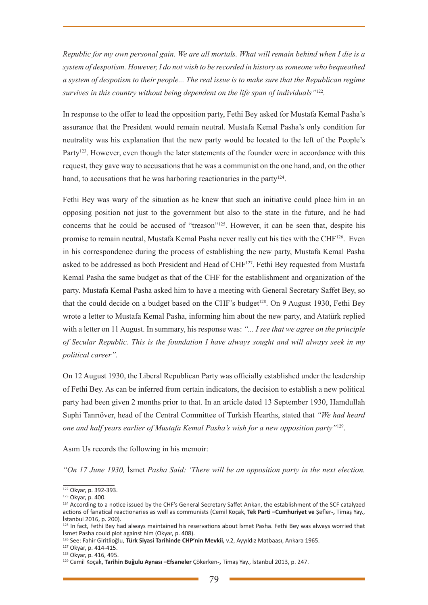*Republic for my own personal gain. We are all mortals. What will remain behind when I die is a system of despotism. However, I do not wish to be recorded in history as someone who bequeathed a system of despotism to their people... The real issue is to make sure that the Republican regime survives in this country without being dependent on the life span of individuals"*<sup>122</sup>*.* 

In response to the offer to lead the opposition party, Fethi Bey asked for Mustafa Kemal Pasha's assurance that the President would remain neutral. Mustafa Kemal Pasha's only condition for neutrality was his explanation that the new party would be located to the left of the People's Party<sup>123</sup>. However, even though the later statements of the founder were in accordance with this request, they gave way to accusations that he was a communist on the one hand, and, on the other hand, to accusations that he was harboring reactionaries in the party<sup>124</sup>.

Fethi Bey was wary of the situation as he knew that such an initiative could place him in an opposing position not just to the government but also to the state in the future, and he had concerns that he could be accused of "treason"125. However, it can be seen that, despite his promise to remain neutral, Mustafa Kemal Pasha never really cut his ties with the CHF<sup>126</sup>. Even in his correspondence during the process of establishing the new party, Mustafa Kemal Pasha asked to be addressed as both President and Head of CHF<sup>127</sup>. Fethi Bey requested from Mustafa Kemal Pasha the same budget as that of the CHF for the establishment and organization of the party. Mustafa Kemal Pasha asked him to have a meeting with General Secretary Saffet Bey, so that the could decide on a budget based on the CHF's budget<sup>128</sup>. On 9 August 1930, Fethi Bey wrote a letter to Mustafa Kemal Pasha, informing him about the new party, and Atatürk replied with a letter on 11 August. In summary, his response was: *"... I see that we agree on the principle of Secular Republic. This is the foundation I have always sought and will always seek in my political career".*

On 12 August 1930, the Liberal Republican Party was officially established under the leadership of Fethi Bey. As can be inferred from certain indicators, the decision to establish a new political party had been given 2 months prior to that. In an article dated 13 September 1930, Hamdullah Suphi Tanrıöver, head of the Central Committee of Turkish Hearths, stated that *"We had heard one and half years earlier of Mustafa Kemal Pasha's wish for a new opposition party"*129.

Asım Us records the following in his memoir:

*"On 17 June 1930,* İsmet *Pasha Said: 'There will be an opposition party in the next election.* 

<sup>&</sup>lt;sup>122</sup> Okyar, p. 392-393.<br><sup>123</sup> Okyar, p. 400.

<sup>&</sup>lt;sup>124</sup> According to a notice issued by the CHF's General Secretary Saffet Arıkan, the establishment of the SCF catalyzed actions of fanatical reactionaries as well as communists (Cemil Koçak, **Tek Parti –Cumhuriyet ve** Şefler**-,** Timaş Yay., İstanbul 2016, p. 200).

<sup>&</sup>lt;sup>125</sup> In fact, Fethi Bey had always maintained his reservations about İsmet Pasha. Fethi Bey was always worried that İsmet Pasha could plot against him (Okyar, p. 408).

<sup>126</sup> See: Fahir Giritlioğlu, **Türk Siyasi Tarihinde CHP'nin Mevkii,** v.2, Ayyıldız Matbaası, Ankara 1965.

<sup>127</sup> Okyar, p. 414-415.

<sup>128</sup> Okyar, p. 416, 495.

<sup>129</sup> Cemil Koçak, **Tarihin Buğulu Aynası –Efsaneler** Çökerken**-,** Timaş Yay., İstanbul 2013, p. 247.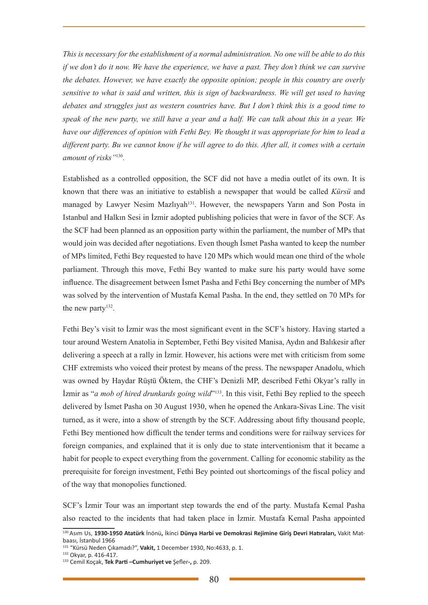*This is necessary for the establishment of a normal administration. No one will be able to do this if we don't do it now. We have the experience, we have a past. They don't think we can survive the debates. However, we have exactly the opposite opinion; people in this country are overly sensitive to what is said and written, this is sign of backwardness. We will get used to having debates and struggles just as western countries have. But I don't think this is a good time to speak of the new party, we still have a year and a half. We can talk about this in a year. We have our differences of opinion with Fethi Bey. We thought it was appropriate for him to lead a different party. Bu we cannot know if he will agree to do this. After all, it comes with a certain amount of risks"*<sup>130</sup>*.* 

Established as a controlled opposition, the SCF did not have a media outlet of its own. It is known that there was an initiative to establish a newspaper that would be called *Kürsü* and managed by Lawyer Nesim Mazlıyah<sup>131</sup>. However, the newspapers Yarın and Son Posta in Istanbul and Halkın Sesi in İzmir adopted publishing policies that were in favor of the SCF. As the SCF had been planned as an opposition party within the parliament, the number of MPs that would join was decided after negotiations. Even though İsmet Pasha wanted to keep the number of MPs limited, Fethi Bey requested to have 120 MPs which would mean one third of the whole parliament. Through this move, Fethi Bey wanted to make sure his party would have some influence. The disagreement between İsmet Pasha and Fethi Bey concerning the number of MPs was solved by the intervention of Mustafa Kemal Pasha. In the end, they settled on 70 MPs for the new party<sup>132</sup>.

Fethi Bey's visit to İzmir was the most significant event in the SCF's history. Having started a tour around Western Anatolia in September, Fethi Bey visited Manisa, Aydın and Balıkesir after delivering a speech at a rally in İzmir. However, his actions were met with criticism from some CHF extremists who voiced their protest by means of the press. The newspaper Anadolu, which was owned by Haydar Rüştü Öktem, the CHF's Denizli MP, described Fethi Okyar's rally in İzmir as "*a mob of hired drunkards going wild*"133. In this visit, Fethi Bey replied to the speech delivered by İsmet Pasha on 30 August 1930, when he opened the Ankara-Sivas Line. The visit turned, as it were, into a show of strength by the SCF. Addressing about fifty thousand people, Fethi Bey mentioned how difficult the tender terms and conditions were for railway services for foreign companies, and explained that it is only due to state interventionism that it became a habit for people to expect everything from the government. Calling for economic stability as the prerequisite for foreign investment, Fethi Bey pointed out shortcomings of the fiscal policy and of the way that monopolies functioned.

SCF's İzmir Tour was an important step towards the end of the party. Mustafa Kemal Pasha also reacted to the incidents that had taken place in İzmir. Mustafa Kemal Pasha appointed

<sup>130</sup> Asım Us, **1930-1950 Atatürk** İnönü**,** İkinci **Dünya Harbi ve Demokrasi Rejimine Giriş Devri Hatıraları,** Vakit Matbaası, İstanbul 1966

<sup>131 &</sup>quot;Kürsü Neden Çıkamadı?", **Vakit,** 1 December 1930, No:4633, p. 1. 132 Okyar, p. 416-417.

<sup>133</sup> Cemil Koçak, **Tek Parti –Cumhuriyet ve** Şefler**-,** p. 209.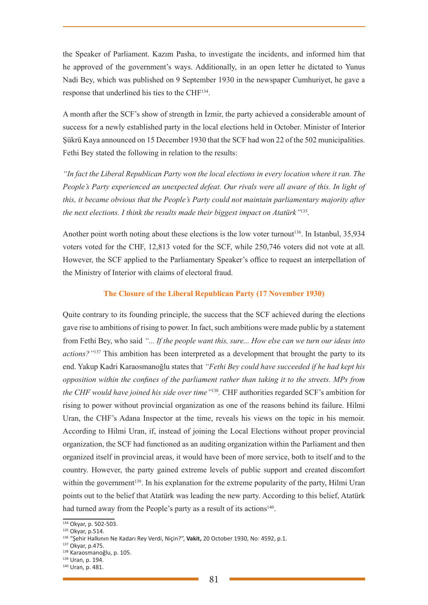the Speaker of Parliament. Kazım Pasha, to investigate the incidents, and informed him that he approved of the government's ways. Additionally, in an open letter he dictated to Yunus Nadi Bey, which was published on 9 September 1930 in the newspaper Cumhuriyet, he gave a response that underlined his ties to the CHF134.

A month after the SCF's show of strength in İzmir, the party achieved a considerable amount of success for a newly established party in the local elections held in October. Minister of Interior Şükrü Kaya announced on 15 December 1930 that the SCF had won 22 of the 502 municipalities. Fethi Bey stated the following in relation to the results:

*"In fact the Liberal Republican Party won the local elections in every location where it ran. The People's Party experienced an unexpected defeat. Our rivals were all aware of this. In light of this, it became obvious that the People's Party could not maintain parliamentary majority after the next elections. I think the results made their biggest impact on Atatürk"*<sup>135</sup>*.* 

Another point worth noting about these elections is the low voter turnout<sup>136</sup>. In Istanbul,  $35,934$ voters voted for the CHF, 12,813 voted for the SCF, while 250,746 voters did not vote at all. However, the SCF applied to the Parliamentary Speaker's office to request an interpellation of the Ministry of Interior with claims of electoral fraud.

#### **The Closure of the Liberal Republican Party (17 November 1930)**

Quite contrary to its founding principle, the success that the SCF achieved during the elections gave rise to ambitions of rising to power. In fact, such ambitions were made public by a statement from Fethi Bey, who said *"... If the people want this, sure... How else can we turn our ideas into actions?"*137 This ambition has been interpreted as a development that brought the party to its end. Yakup Kadri Karaosmanoğlu states that *"Fethi Bey could have succeeded if he had kept his opposition within the confines of the parliament rather than taking it to the streets. MPs from the CHF would have joined his side over time"*<sup>138</sup>*.* CHF authorities regarded SCF's ambition for rising to power without provincial organization as one of the reasons behind its failure. Hilmi Uran, the CHF's Adana Inspector at the time, reveals his views on the topic in his memoir. According to Hilmi Uran, if, instead of joining the Local Elections without proper provincial organization, the SCF had functioned as an auditing organization within the Parliament and then organized itself in provincial areas, it would have been of more service, both to itself and to the country. However, the party gained extreme levels of public support and created discomfort within the government<sup>139</sup>. In his explanation for the extreme popularity of the party, Hilmi Uran points out to the belief that Atatürk was leading the new party. According to this belief, Atatürk had turned away from the People's party as a result of its actions<sup>140</sup>.

<sup>&</sup>lt;sup>134</sup> Okyar, p. 502-503.

<sup>135</sup> Okyar, p.514.

<sup>&</sup>lt;sup>136</sup> "Şehir Halkının Ne Kadarı Rey Verdi, Niçin?", Vakit, 20 October 1930, No: 4592, p.1.<br><sup>137</sup> Okvar, p.475.

<sup>&</sup>lt;sup>138</sup> Karaosmanoğlu, p. 105.<br><sup>139</sup> Uran, p. 194.

<sup>&</sup>lt;sup>140</sup> Uran, p. 481.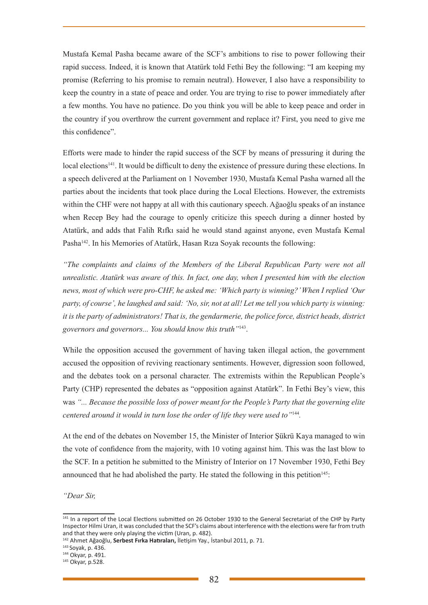Mustafa Kemal Pasha became aware of the SCF's ambitions to rise to power following their rapid success. Indeed, it is known that Atatürk told Fethi Bey the following: "I am keeping my promise (Referring to his promise to remain neutral). However, I also have a responsibility to keep the country in a state of peace and order. You are trying to rise to power immediately after a few months. You have no patience. Do you think you will be able to keep peace and order in the country if you overthrow the current government and replace it? First, you need to give me this confidence".

Efforts were made to hinder the rapid success of the SCF by means of pressuring it during the local elections<sup>141</sup>. It would be difficult to deny the existence of pressure during these elections. In a speech delivered at the Parliament on 1 November 1930, Mustafa Kemal Pasha warned all the parties about the incidents that took place during the Local Elections. However, the extremists within the CHF were not happy at all with this cautionary speech. Ağaoğlu speaks of an instance when Recep Bey had the courage to openly criticize this speech during a dinner hosted by Atatürk, and adds that Falih Rıfkı said he would stand against anyone, even Mustafa Kemal Pasha<sup>142</sup>. In his Memories of Atatürk, Hasan Rıza Soyak recounts the following:

*"The complaints and claims of the Members of the Liberal Republican Party were not all unrealistic. Atatürk was aware of this. In fact, one day, when I presented him with the election news, most of which were pro-CHF, he asked me: 'Which party is winning?' When I replied 'Our party, of course', he laughed and said: 'No, sir, not at all! Let me tell you which party is winning: it is the party of administrators! That is, the gendarmerie, the police force, district heads, district governors and governors... You should know this truth"*143.

While the opposition accused the government of having taken illegal action, the government accused the opposition of reviving reactionary sentiments. However, digression soon followed, and the debates took on a personal character. The extremists within the Republican People's Party (CHP) represented the debates as "opposition against Atatürk". In Fethi Bey's view, this was *"... Because the possible loss of power meant for the People's Party that the governing elite centered around it would in turn lose the order of life they were used to"*<sup>144</sup>*.* 

At the end of the debates on November 15, the Minister of Interior Şükrü Kaya managed to win the vote of confidence from the majority, with 10 voting against him. This was the last blow to the SCF. In a petition he submitted to the Ministry of Interior on 17 November 1930, Fethi Bey announced that he had abolished the party. He stated the following in this petition $145$ :

*"Dear Sir,*

<sup>&</sup>lt;sup>141</sup> In a report of the Local Elections submitted on 26 October 1930 to the General Secretariat of the CHP by Party Inspector Hilmi Uran, it was concluded that the SCF's claims about interference with the elections were far from truth and that they were only playing the victim (Uran, p. 482).

<sup>142</sup> Ahmet Ağaoğlu, **Serbest Fırka Hatıraları,** İletişim Yay., İstanbul 2011, p. 71.

<sup>&</sup>lt;sup>143</sup> Soyak, p. 436.<br><sup>144</sup> Okyar, p. 491.

<sup>&</sup>lt;sup>145</sup> Okyar, p.528.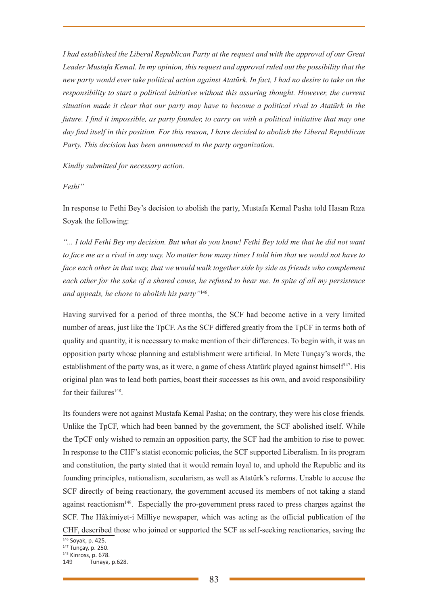*I had established the Liberal Republican Party at the request and with the approval of our Great Leader Mustafa Kemal. In my opinion, this request and approval ruled out the possibility that the new party would ever take political action against Atatürk. In fact, I had no desire to take on the responsibility to start a political initiative without this assuring thought. However, the current situation made it clear that our party may have to become a political rival to Atatürk in the future. I find it impossible, as party founder, to carry on with a political initiative that may one day find itself in this position. For this reason, I have decided to abolish the Liberal Republican Party. This decision has been announced to the party organization.* 

*Kindly submitted for necessary action.*

*Fethi"*

In response to Fethi Bey's decision to abolish the party, Mustafa Kemal Pasha told Hasan Rıza Soyak the following:

*"... I told Fethi Bey my decision. But what do you know! Fethi Bey told me that he did not want to face me as a rival in any way. No matter how many times I told him that we would not have to face each other in that way, that we would walk together side by side as friends who complement each other for the sake of a shared cause, he refused to hear me. In spite of all my persistence and appeals, he chose to abolish his party"*146.

Having survived for a period of three months, the SCF had become active in a very limited number of areas, just like the TpCF. As the SCF differed greatly from the TpCF in terms both of quality and quantity, it is necessary to make mention of their differences. To begin with, it was an opposition party whose planning and establishment were artificial. In Mete Tunçay's words, the establishment of the party was, as it were, a game of chess Atatürk played against himself<sup>147</sup>. His original plan was to lead both parties, boast their successes as his own, and avoid responsibility for their failures<sup>148</sup>.

Its founders were not against Mustafa Kemal Pasha; on the contrary, they were his close friends. Unlike the TpCF, which had been banned by the government, the SCF abolished itself. While the TpCF only wished to remain an opposition party, the SCF had the ambition to rise to power. In response to the CHF's statist economic policies, the SCF supported Liberalism. In its program and constitution, the party stated that it would remain loyal to, and uphold the Republic and its founding principles, nationalism, secularism, as well as Atatürk's reforms. Unable to accuse the SCF directly of being reactionary, the government accused its members of not taking a stand against reactionism149. Especially the pro-government press raced to press charges against the SCF. The Hâkimiyet-i Milliye newspaper, which was acting as the official publication of the CHF, described those who joined or supported the SCF as self-seeking reactionaries, saving the

<sup>146</sup> Soyak, p. 425. 147 Tunçay, p. 250. 148 Kinross, p. 678.

<sup>149</sup> Tunaya, p.628.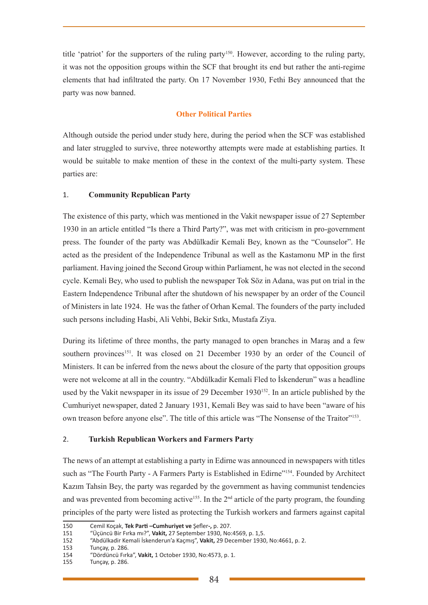title 'patriot' for the supporters of the ruling party<sup>150</sup>. However, according to the ruling party, it was not the opposition groups within the SCF that brought its end but rather the anti-regime elements that had infiltrated the party. On 17 November 1930, Fethi Bey announced that the party was now banned.

## **Other Political Parties**

Although outside the period under study here, during the period when the SCF was established and later struggled to survive, three noteworthy attempts were made at establishing parties. It would be suitable to make mention of these in the context of the multi-party system. These parties are:

## 1. **Community Republican Party**

The existence of this party, which was mentioned in the Vakit newspaper issue of 27 September 1930 in an article entitled "Is there a Third Party?", was met with criticism in pro-government press. The founder of the party was Abdülkadir Kemali Bey, known as the "Counselor". He acted as the president of the Independence Tribunal as well as the Kastamonu MP in the first parliament. Having joined the Second Group within Parliament, he was not elected in the second cycle. Kemali Bey, who used to publish the newspaper Tok Söz in Adana, was put on trial in the Eastern Independence Tribunal after the shutdown of his newspaper by an order of the Council of Ministers in late 1924. He was the father of Orhan Kemal. The founders of the party included such persons including Hasbi, Ali Vehbi, Bekir Sıtkı, Mustafa Ziya.

During its lifetime of three months, the party managed to open branches in Maraş and a few southern provinces<sup>151</sup>. It was closed on 21 December 1930 by an order of the Council of Ministers. It can be inferred from the news about the closure of the party that opposition groups were not welcome at all in the country. "Abdülkadir Kemali Fled to İskenderun" was a headline used by the Vakit newspaper in its issue of 29 December 1930<sup>152</sup>. In an article published by the Cumhuriyet newspaper, dated 2 January 1931, Kemali Bey was said to have been "aware of his own treason before anyone else". The title of this article was "The Nonsense of the Traitor"<sup>153</sup>.

## 2. **Turkish Republican Workers and Farmers Party**

The news of an attempt at establishing a party in Edirne was announced in newspapers with titles such as "The Fourth Party - A Farmers Party is Established in Edirne"<sup>154</sup>. Founded by Architect Kazım Tahsin Bey, the party was regarded by the government as having communist tendencies and was prevented from becoming active<sup>155</sup>. In the  $2<sup>nd</sup>$  article of the party program, the founding principles of the party were listed as protecting the Turkish workers and farmers against capital

<sup>150</sup> Cemil Koçak, **Tek Parti –Cumhuriyet ve** Şefler**-,** p. 207.

<sup>151 &</sup>quot;Üçüncü Bir Fırka mı?", **Vakit,** 27 September 1930, No:4569, p. 1,5.

<sup>152 &</sup>quot;Abdülkadir Kemali İskenderun'a Kaçmış", **Vakit,** 29 December 1930, No:4661, p. 2.

<sup>153</sup> Tunçay, p. 286.<br>154 "Dördüncü Fırk

<sup>154 &</sup>quot;Dördüncü Fırka", **Vakit,** 1 October 1930, No:4573, p. 1.

<sup>155</sup> Tunçay, p. 286.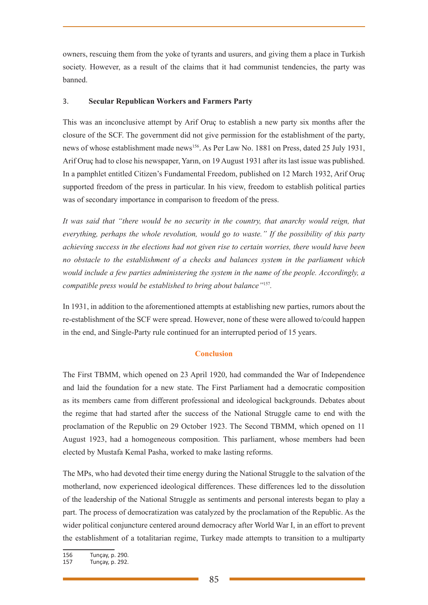owners, rescuing them from the yoke of tyrants and usurers, and giving them a place in Turkish society. However, as a result of the claims that it had communist tendencies, the party was banned.

## 3. **Secular Republican Workers and Farmers Party**

This was an inconclusive attempt by Arif Oruç to establish a new party six months after the closure of the SCF. The government did not give permission for the establishment of the party, news of whose establishment made news<sup>156</sup>. As Per Law No. 1881 on Press, dated 25 July 1931, Arif Oruç had to close his newspaper, Yarın, on 19 August 1931 after its last issue was published. In a pamphlet entitled Citizen's Fundamental Freedom, published on 12 March 1932, Arif Oruç supported freedom of the press in particular. In his view, freedom to establish political parties was of secondary importance in comparison to freedom of the press.

*It was said that "there would be no security in the country, that anarchy would reign, that everything, perhaps the whole revolution, would go to waste." If the possibility of this party achieving success in the elections had not given rise to certain worries, there would have been no obstacle to the establishment of a checks and balances system in the parliament which would include a few parties administering the system in the name of the people. Accordingly, a compatible press would be established to bring about balance"*<sup>157</sup>*.* 

In 1931, in addition to the aforementioned attempts at establishing new parties, rumors about the re-establishment of the SCF were spread. However, none of these were allowed to/could happen in the end, and Single-Party rule continued for an interrupted period of 15 years.

## **Conclusion**

The First TBMM, which opened on 23 April 1920, had commanded the War of Independence and laid the foundation for a new state. The First Parliament had a democratic composition as its members came from different professional and ideological backgrounds. Debates about the regime that had started after the success of the National Struggle came to end with the proclamation of the Republic on 29 October 1923. The Second TBMM, which opened on 11 August 1923, had a homogeneous composition. This parliament, whose members had been elected by Mustafa Kemal Pasha, worked to make lasting reforms.

The MPs, who had devoted their time energy during the National Struggle to the salvation of the motherland, now experienced ideological differences. These differences led to the dissolution of the leadership of the National Struggle as sentiments and personal interests began to play a part. The process of democratization was catalyzed by the proclamation of the Republic. As the wider political conjuncture centered around democracy after World War I, in an effort to prevent the establishment of a totalitarian regime, Turkey made attempts to transition to a multiparty

<sup>156</sup> Tunçay, p. 290.

<sup>157</sup> Tunçay, p. 292.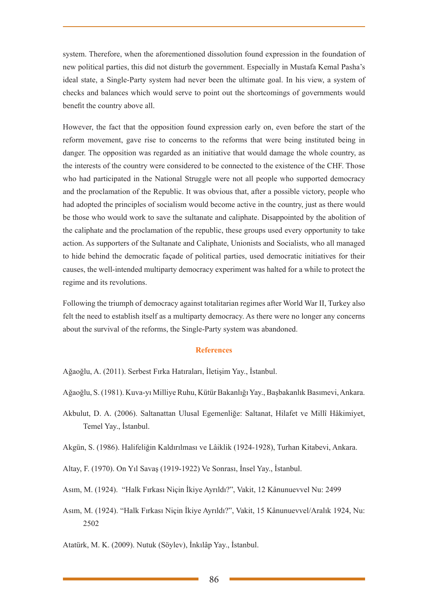system. Therefore, when the aforementioned dissolution found expression in the foundation of new political parties, this did not disturb the government. Especially in Mustafa Kemal Pasha's ideal state, a Single-Party system had never been the ultimate goal. In his view, a system of checks and balances which would serve to point out the shortcomings of governments would benefit the country above all.

However, the fact that the opposition found expression early on, even before the start of the reform movement, gave rise to concerns to the reforms that were being instituted being in danger. The opposition was regarded as an initiative that would damage the whole country, as the interests of the country were considered to be connected to the existence of the CHF. Those who had participated in the National Struggle were not all people who supported democracy and the proclamation of the Republic. It was obvious that, after a possible victory, people who had adopted the principles of socialism would become active in the country, just as there would be those who would work to save the sultanate and caliphate. Disappointed by the abolition of the caliphate and the proclamation of the republic, these groups used every opportunity to take action. As supporters of the Sultanate and Caliphate, Unionists and Socialists, who all managed to hide behind the democratic façade of political parties, used democratic initiatives for their causes, the well-intended multiparty democracy experiment was halted for a while to protect the regime and its revolutions.

Following the triumph of democracy against totalitarian regimes after World War II, Turkey also felt the need to establish itself as a multiparty democracy. As there were no longer any concerns about the survival of the reforms, the Single-Party system was abandoned.

### **References**

Ağaoğlu, A. (2011). Serbest Fırka Hatıraları, İletişim Yay., İstanbul.

- Ağaoğlu, S. (1981). Kuva-yı Milliye Ruhu, Kütür Bakanlığı Yay., Başbakanlık Basımevi, Ankara.
- Akbulut, D. A. (2006). Saltanattan Ulusal Egemenliğe: Saltanat, Hilafet ve Millî Hâkimiyet, Temel Yay., İstanbul.
- Akgün, S. (1986). Halifeliğin Kaldırılması ve Lâiklik (1924-1928), Turhan Kitabevi, Ankara.
- Altay, F. (1970). On Yıl Savaş (1919-1922) Ve Sonrası, İnsel Yay., İstanbul.
- Asım, M. (1924). "Halk Fırkası Niçin İkiye Ayrıldı?", Vakit, 12 Kânunuevvel Nu: 2499
- Asım, M. (1924). "Halk Fırkası Niçin İkiye Ayrıldı?", Vakit, 15 Kânunuevvel/Aralık 1924, Nu: 2502

Atatürk, M. K. (2009). Nutuk (Söylev), İnkılâp Yay., İstanbul.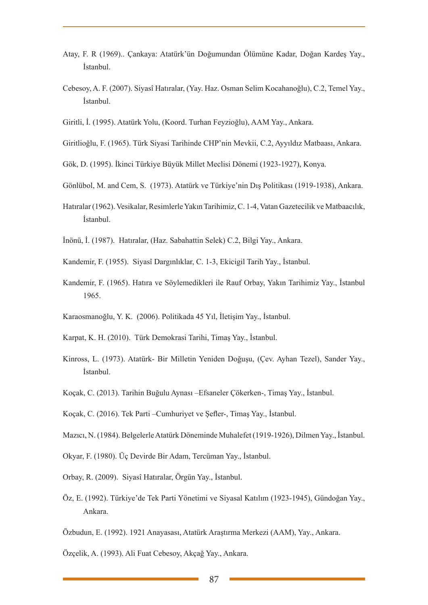- Atay, F. R (1969).. Çankaya: Atatürk'ün Doğumundan Ölümüne Kadar, Doğan Kardeş Yay., İstanbul.
- Cebesoy, A. F. (2007). Siyasî Hatıralar, (Yay. Haz. Osman Selim Kocahanoğlu), C.2, Temel Yay., İstanbul.
- Giritli, İ. (1995). Atatürk Yolu, (Koord. Turhan Feyzioğlu), AAM Yay., Ankara.
- Giritlioğlu, F. (1965). Türk Siyasi Tarihinde CHP'nin Mevkii, C.2, Ayyıldız Matbaası, Ankara.
- Gök, D. (1995). İkinci Türkiye Büyük Millet Meclisi Dönemi (1923-1927), Konya.
- Gönlübol, M. and Cem, S. (1973). Atatürk ve Türkiye'nin Dış Politikası (1919-1938), Ankara.
- Hatıralar (1962). Vesikalar, Resimlerle Yakın Tarihimiz, C. 1-4, Vatan Gazetecilik ve Matbaacılık, İstanbul.
- İnönü, İ. (1987). Hatıralar, (Haz. Sabahattin Selek) C.2, Bilgi Yay., Ankara.
- Kandemir, F. (1955). Siyasî Dargınlıklar, C. 1-3, Ekicigil Tarih Yay., İstanbul.
- Kandemir, F. (1965). Hatıra ve Söylemedikleri ile Rauf Orbay, Yakın Tarihimiz Yay., İstanbul 1965.
- Karaosmanoğlu, Y. K. (2006). Politikada 45 Yıl, İletişim Yay., İstanbul.
- Karpat, K. H. (2010). Türk Demokrasi Tarihi, Timaş Yay., İstanbul.
- Kinross, L. (1973). Atatürk- Bir Milletin Yeniden Doğuşu, (Çev. Ayhan Tezel), Sander Yay., İstanbul.
- Koçak, C. (2013). Tarihin Buğulu Aynası –Efsaneler Çökerken-, Timaş Yay., İstanbul.
- Koçak, C. (2016). Tek Parti –Cumhuriyet ve Şefler-, Timaş Yay., İstanbul.
- Mazıcı, N. (1984). Belgelerle Atatürk Döneminde Muhalefet (1919-1926), Dilmen Yay., İstanbul.
- Okyar, F. (1980). Üç Devirde Bir Adam, Tercüman Yay., İstanbul.
- Orbay, R. (2009). Siyasî Hatıralar, Örgün Yay., İstanbul.
- Öz, E. (1992). Türkiye'de Tek Parti Yönetimi ve Siyasal Katılım (1923-1945), Gündoğan Yay., Ankara.
- Özbudun, E. (1992). 1921 Anayasası, Atatürk Araştırma Merkezi (AAM), Yay., Ankara.

Özçelik, A. (1993). Ali Fuat Cebesoy, Akçağ Yay., Ankara.